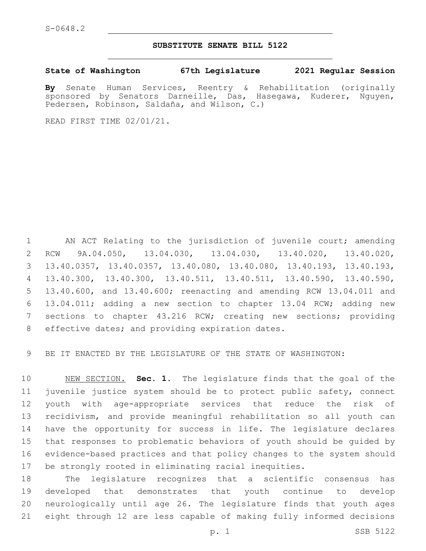### **SUBSTITUTE SENATE BILL 5122**

**State of Washington 67th Legislature 2021 Regular Session**

**By** Senate Human Services, Reentry & Rehabilitation (originally sponsored by Senators Darneille, Das, Hasegawa, Kuderer, Nguyen, Pedersen, Robinson, Saldaña, and Wilson, C.)

READ FIRST TIME 02/01/21.

1 AN ACT Relating to the jurisdiction of juvenile court; amending RCW 9A.04.050, 13.04.030, 13.04.030, 13.40.020, 13.40.020, 13.40.0357, 13.40.0357, 13.40.080, 13.40.080, 13.40.193, 13.40.193, 13.40.300, 13.40.300, 13.40.511, 13.40.511, 13.40.590, 13.40.590, 13.40.600, and 13.40.600; reenacting and amending RCW 13.04.011 and 13.04.011; adding a new section to chapter 13.04 RCW; adding new sections to chapter 43.216 RCW; creating new sections; providing 8 effective dates; and providing expiration dates.

BE IT ENACTED BY THE LEGISLATURE OF THE STATE OF WASHINGTON:

 NEW SECTION. **Sec. 1.** The legislature finds that the goal of the juvenile justice system should be to protect public safety, connect youth with age-appropriate services that reduce the risk of recidivism, and provide meaningful rehabilitation so all youth can have the opportunity for success in life. The legislature declares that responses to problematic behaviors of youth should be guided by evidence-based practices and that policy changes to the system should be strongly rooted in eliminating racial inequities.

 The legislature recognizes that a scientific consensus has developed that demonstrates that youth continue to develop neurologically until age 26. The legislature finds that youth ages eight through 12 are less capable of making fully informed decisions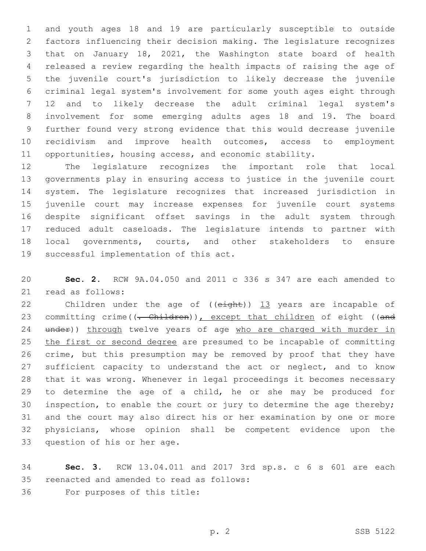and youth ages 18 and 19 are particularly susceptible to outside factors influencing their decision making. The legislature recognizes that on January 18, 2021, the Washington state board of health released a review regarding the health impacts of raising the age of the juvenile court's jurisdiction to likely decrease the juvenile criminal legal system's involvement for some youth ages eight through 12 and to likely decrease the adult criminal legal system's involvement for some emerging adults ages 18 and 19. The board further found very strong evidence that this would decrease juvenile recidivism and improve health outcomes, access to employment opportunities, housing access, and economic stability.

 The legislature recognizes the important role that local governments play in ensuring access to justice in the juvenile court system. The legislature recognizes that increased jurisdiction in juvenile court may increase expenses for juvenile court systems despite significant offset savings in the adult system through reduced adult caseloads. The legislature intends to partner with local governments, courts, and other stakeholders to ensure 19 successful implementation of this act.

 **Sec. 2.** RCW 9A.04.050 and 2011 c 336 s 347 are each amended to 21 read as follows:

22 Children under the age of ((eight)) 13 years are incapable of 23 committing crime((<del>. Children</del>)), except that children of eight ((and 24 under)) through twelve years of age who are charged with murder in the first or second degree are presumed to be incapable of committing crime, but this presumption may be removed by proof that they have 27 sufficient capacity to understand the act or neglect, and to know that it was wrong. Whenever in legal proceedings it becomes necessary to determine the age of a child, he or she may be produced for 30 inspection, to enable the court or jury to determine the age thereby; and the court may also direct his or her examination by one or more physicians, whose opinion shall be competent evidence upon the 33 question of his or her age.

 **Sec. 3.** RCW 13.04.011 and 2017 3rd sp.s. c 6 s 601 are each 35 reenacted and amended to read as follows: 36 For purposes of this title: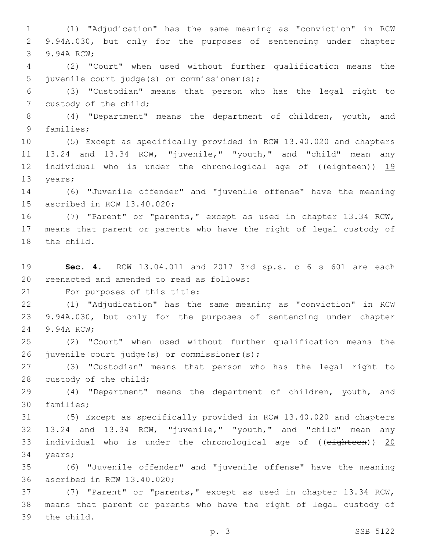1 (1) "Adjudication" has the same meaning as "conviction" in RCW 2 9.94A.030, but only for the purposes of sentencing under chapter 3 9.94A RCW;

4 (2) "Court" when used without further qualification means the 5 juvenile court judge(s) or commissioner(s);

6 (3) "Custodian" means that person who has the legal right to 7 custody of the child;

8 (4) "Department" means the department of children, youth, and 9 families;

10 (5) Except as specifically provided in RCW 13.40.020 and chapters 11 13.24 and 13.34 RCW, "juvenile," "youth," and "child" mean any 12 individual who is under the chronological age of ((eighteen)) 19 13 years;

14 (6) "Juvenile offender" and "juvenile offense" have the meaning 15 ascribed in RCW 13.40.020;

16 (7) "Parent" or "parents," except as used in chapter 13.34 RCW, 17 means that parent or parents who have the right of legal custody of 18 the child.

19 **Sec. 4.** RCW 13.04.011 and 2017 3rd sp.s. c 6 s 601 are each 20 reenacted and amended to read as follows:

21 For purposes of this title:

22 (1) "Adjudication" has the same meaning as "conviction" in RCW 23 9.94A.030, but only for the purposes of sentencing under chapter 24 9.94A RCW;

25 (2) "Court" when used without further qualification means the 26 juvenile court judge(s) or commissioner(s);

27 (3) "Custodian" means that person who has the legal right to 28 custody of the child;

29 (4) "Department" means the department of children, youth, and 30 families;

 (5) Except as specifically provided in RCW 13.40.020 and chapters 13.24 and 13.34 RCW, "juvenile," "youth," and "child" mean any individual who is under the chronological age of ((eighteen)) 20 34 years;

35 (6) "Juvenile offender" and "juvenile offense" have the meaning 36 ascribed in RCW 13.40.020;

37 (7) "Parent" or "parents," except as used in chapter 13.34 RCW, 38 means that parent or parents who have the right of legal custody of 39 the child.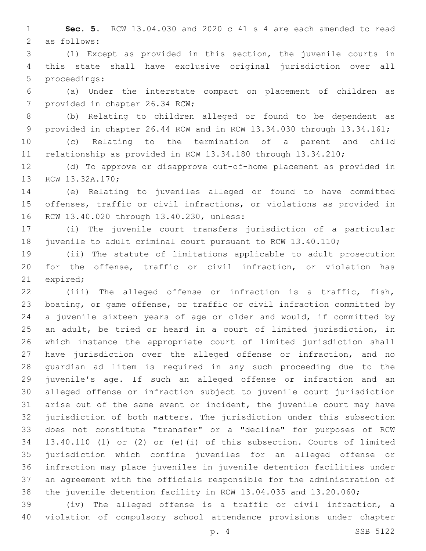**Sec. 5.** RCW 13.04.030 and 2020 c 41 s 4 are each amended to read 2 as follows:

 (1) Except as provided in this section, the juvenile courts in this state shall have exclusive original jurisdiction over all 5 proceedings:

 (a) Under the interstate compact on placement of children as 7 provided in chapter 26.34 RCW;

 (b) Relating to children alleged or found to be dependent as provided in chapter 26.44 RCW and in RCW 13.34.030 through 13.34.161;

 (c) Relating to the termination of a parent and child relationship as provided in RCW 13.34.180 through 13.34.210;

 (d) To approve or disapprove out-of-home placement as provided in 13 RCW 13.32A.170;

 (e) Relating to juveniles alleged or found to have committed offenses, traffic or civil infractions, or violations as provided in 16 RCW 13.40.020 through 13.40.230, unless:

 (i) The juvenile court transfers jurisdiction of a particular juvenile to adult criminal court pursuant to RCW 13.40.110;

 (ii) The statute of limitations applicable to adult prosecution for the offense, traffic or civil infraction, or violation has 21 expired;

 (iii) The alleged offense or infraction is a traffic, fish, boating, or game offense, or traffic or civil infraction committed by a juvenile sixteen years of age or older and would, if committed by an adult, be tried or heard in a court of limited jurisdiction, in which instance the appropriate court of limited jurisdiction shall have jurisdiction over the alleged offense or infraction, and no guardian ad litem is required in any such proceeding due to the juvenile's age. If such an alleged offense or infraction and an alleged offense or infraction subject to juvenile court jurisdiction arise out of the same event or incident, the juvenile court may have jurisdiction of both matters. The jurisdiction under this subsection does not constitute "transfer" or a "decline" for purposes of RCW 13.40.110 (1) or (2) or (e)(i) of this subsection. Courts of limited jurisdiction which confine juveniles for an alleged offense or infraction may place juveniles in juvenile detention facilities under an agreement with the officials responsible for the administration of the juvenile detention facility in RCW 13.04.035 and 13.20.060;

 (iv) The alleged offense is a traffic or civil infraction, a violation of compulsory school attendance provisions under chapter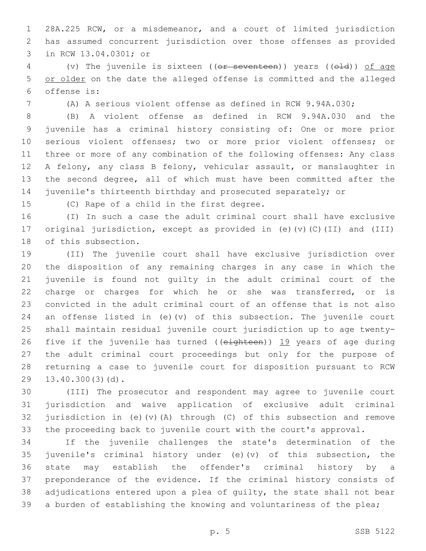28A.225 RCW, or a misdemeanor, and a court of limited jurisdiction has assumed concurrent jurisdiction over those offenses as provided 3 in RCW 13.04.0301; or

4 (v) The juvenile is sixteen ((or seventeen)) years ((old)) of age or older on the date the alleged offense is committed and the alleged offense is:6

(A) A serious violent offense as defined in RCW 9.94A.030;

 (B) A violent offense as defined in RCW 9.94A.030 and the juvenile has a criminal history consisting of: One or more prior serious violent offenses; two or more prior violent offenses; or three or more of any combination of the following offenses: Any class A felony, any class B felony, vehicular assault, or manslaughter in the second degree, all of which must have been committed after the juvenile's thirteenth birthday and prosecuted separately; or

15 (C) Rape of a child in the first degree.

 (I) In such a case the adult criminal court shall have exclusive original jurisdiction, except as provided in (e)(v)(C)(II) and (III) 18 of this subsection.

 (II) The juvenile court shall have exclusive jurisdiction over the disposition of any remaining charges in any case in which the juvenile is found not guilty in the adult criminal court of the charge or charges for which he or she was transferred, or is convicted in the adult criminal court of an offense that is not also 24 an offense listed in (e)(v) of this subsection. The juvenile court shall maintain residual juvenile court jurisdiction up to age twenty-26 five if the juvenile has turned (( $e$ ighteen))  $19$  years of age during the adult criminal court proceedings but only for the purpose of returning a case to juvenile court for disposition pursuant to RCW 29 13.40.300(3)(d).

 (III) The prosecutor and respondent may agree to juvenile court jurisdiction and waive application of exclusive adult criminal 32 jurisdiction in (e)(v)(A) through (C) of this subsection and remove the proceeding back to juvenile court with the court's approval.

 If the juvenile challenges the state's determination of the juvenile's criminal history under (e)(v) of this subsection, the state may establish the offender's criminal history by a preponderance of the evidence. If the criminal history consists of adjudications entered upon a plea of guilty, the state shall not bear a burden of establishing the knowing and voluntariness of the plea;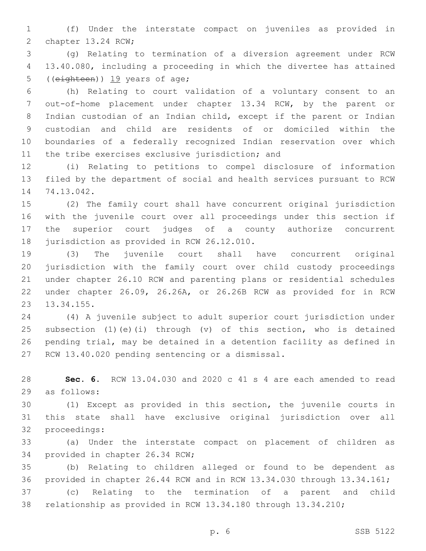(f) Under the interstate compact on juveniles as provided in 2 chapter 13.24 RCW;

 (g) Relating to termination of a diversion agreement under RCW 13.40.080, including a proceeding in which the divertee has attained 5 ((eighteen)) 19 years of age;

 (h) Relating to court validation of a voluntary consent to an out-of-home placement under chapter 13.34 RCW, by the parent or Indian custodian of an Indian child, except if the parent or Indian custodian and child are residents of or domiciled within the boundaries of a federally recognized Indian reservation over which 11 the tribe exercises exclusive jurisdiction; and

 (i) Relating to petitions to compel disclosure of information filed by the department of social and health services pursuant to RCW 14 74.13.042.

 (2) The family court shall have concurrent original jurisdiction with the juvenile court over all proceedings under this section if the superior court judges of a county authorize concurrent 18 jurisdiction as provided in RCW 26.12.010.

 (3) The juvenile court shall have concurrent original jurisdiction with the family court over child custody proceedings under chapter 26.10 RCW and parenting plans or residential schedules under chapter 26.09, 26.26A, or 26.26B RCW as provided for in RCW 23 13.34.155.

 (4) A juvenile subject to adult superior court jurisdiction under subsection (1)(e)(i) through (v) of this section, who is detained pending trial, may be detained in a detention facility as defined in 27 RCW 13.40.020 pending sentencing or a dismissal.

 **Sec. 6.** RCW 13.04.030 and 2020 c 41 s 4 are each amended to read 29 as follows:

 (1) Except as provided in this section, the juvenile courts in this state shall have exclusive original jurisdiction over all 32 proceedings:

 (a) Under the interstate compact on placement of children as 34 provided in chapter 26.34 RCW;

 (b) Relating to children alleged or found to be dependent as provided in chapter 26.44 RCW and in RCW 13.34.030 through 13.34.161;

 (c) Relating to the termination of a parent and child relationship as provided in RCW 13.34.180 through 13.34.210;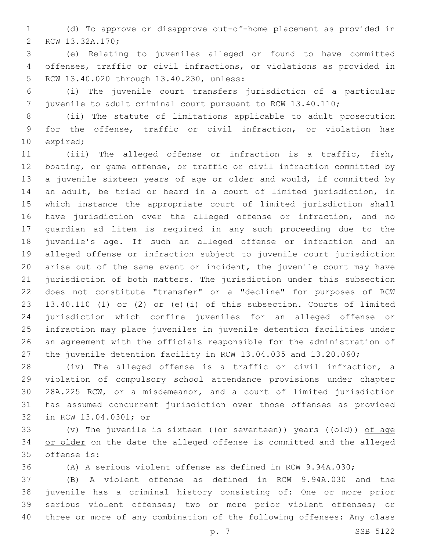(d) To approve or disapprove out-of-home placement as provided in 2 RCW 13.32A.170;

 (e) Relating to juveniles alleged or found to have committed offenses, traffic or civil infractions, or violations as provided in 5 RCW 13.40.020 through 13.40.230, unless:

 (i) The juvenile court transfers jurisdiction of a particular juvenile to adult criminal court pursuant to RCW 13.40.110;

 (ii) The statute of limitations applicable to adult prosecution for the offense, traffic or civil infraction, or violation has 10 expired;

 (iii) The alleged offense or infraction is a traffic, fish, boating, or game offense, or traffic or civil infraction committed by a juvenile sixteen years of age or older and would, if committed by an adult, be tried or heard in a court of limited jurisdiction, in which instance the appropriate court of limited jurisdiction shall have jurisdiction over the alleged offense or infraction, and no guardian ad litem is required in any such proceeding due to the juvenile's age. If such an alleged offense or infraction and an alleged offense or infraction subject to juvenile court jurisdiction arise out of the same event or incident, the juvenile court may have jurisdiction of both matters. The jurisdiction under this subsection does not constitute "transfer" or a "decline" for purposes of RCW 13.40.110 (1) or (2) or (e)(i) of this subsection. Courts of limited jurisdiction which confine juveniles for an alleged offense or infraction may place juveniles in juvenile detention facilities under an agreement with the officials responsible for the administration of the juvenile detention facility in RCW 13.04.035 and 13.20.060;

 (iv) The alleged offense is a traffic or civil infraction, a violation of compulsory school attendance provisions under chapter 28A.225 RCW, or a misdemeanor, and a court of limited jurisdiction has assumed concurrent jurisdiction over those offenses as provided 32 in RCW 13.04.0301; or

33 (v) The juvenile is sixteen (( $e$ <del>r seventeen</del>)) years ( $(e$ <del>ld</del>)) of age 34 or older on the date the alleged offense is committed and the alleged 35 offense is:

(A) A serious violent offense as defined in RCW 9.94A.030;

 (B) A violent offense as defined in RCW 9.94A.030 and the juvenile has a criminal history consisting of: One or more prior serious violent offenses; two or more prior violent offenses; or three or more of any combination of the following offenses: Any class

p. 7 SSB 5122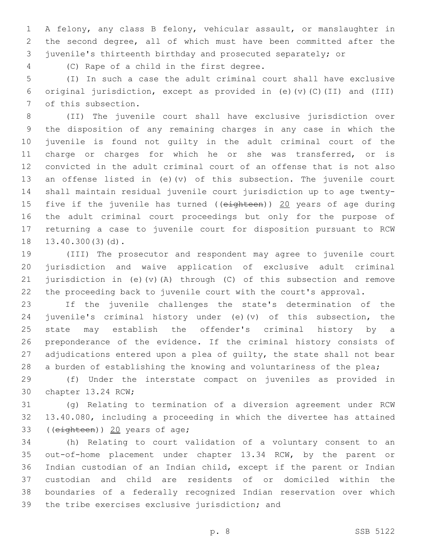A felony, any class B felony, vehicular assault, or manslaughter in the second degree, all of which must have been committed after the juvenile's thirteenth birthday and prosecuted separately; or

(C) Rape of a child in the first degree.4

 (I) In such a case the adult criminal court shall have exclusive original jurisdiction, except as provided in (e)(v)(C)(II) and (III) 7 of this subsection.

 (II) The juvenile court shall have exclusive jurisdiction over the disposition of any remaining charges in any case in which the juvenile is found not guilty in the adult criminal court of the charge or charges for which he or she was transferred, or is convicted in the adult criminal court of an offense that is not also an offense listed in (e)(v) of this subsection. The juvenile court shall maintain residual juvenile court jurisdiction up to age twenty-15 five if the juvenile has turned ((eighteen)) 20 years of age during the adult criminal court proceedings but only for the purpose of returning a case to juvenile court for disposition pursuant to RCW 18 13.40.300(3)(d).

 (III) The prosecutor and respondent may agree to juvenile court jurisdiction and waive application of exclusive adult criminal jurisdiction in (e)(v)(A) through (C) of this subsection and remove the proceeding back to juvenile court with the court's approval.

 If the juvenile challenges the state's determination of the juvenile's criminal history under (e)(v) of this subsection, the state may establish the offender's criminal history by a preponderance of the evidence. If the criminal history consists of 27 adjudications entered upon a plea of quilty, the state shall not bear 28 a burden of establishing the knowing and voluntariness of the plea;

 (f) Under the interstate compact on juveniles as provided in 30 chapter 13.24 RCW;

 (g) Relating to termination of a diversion agreement under RCW 13.40.080, including a proceeding in which the divertee has attained 33 ((eighteen)) 20 years of age;

 (h) Relating to court validation of a voluntary consent to an out-of-home placement under chapter 13.34 RCW, by the parent or Indian custodian of an Indian child, except if the parent or Indian custodian and child are residents of or domiciled within the boundaries of a federally recognized Indian reservation over which 39 the tribe exercises exclusive jurisdiction; and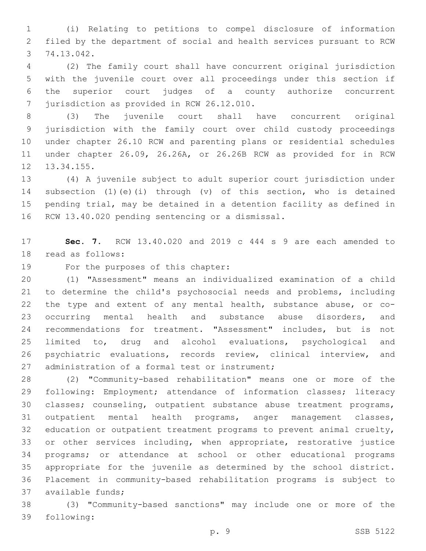(i) Relating to petitions to compel disclosure of information filed by the department of social and health services pursuant to RCW 74.13.042.3

 (2) The family court shall have concurrent original jurisdiction with the juvenile court over all proceedings under this section if the superior court judges of a county authorize concurrent 7 jurisdiction as provided in RCW 26.12.010.

 (3) The juvenile court shall have concurrent original jurisdiction with the family court over child custody proceedings under chapter 26.10 RCW and parenting plans or residential schedules under chapter 26.09, 26.26A, or 26.26B RCW as provided for in RCW 12 13.34.155.

 (4) A juvenile subject to adult superior court jurisdiction under subsection (1)(e)(i) through (v) of this section, who is detained pending trial, may be detained in a detention facility as defined in 16 RCW 13.40.020 pending sentencing or a dismissal.

 **Sec. 7.** RCW 13.40.020 and 2019 c 444 s 9 are each amended to 18 read as follows:

19 For the purposes of this chapter:

 (1) "Assessment" means an individualized examination of a child to determine the child's psychosocial needs and problems, including the type and extent of any mental health, substance abuse, or co- occurring mental health and substance abuse disorders, and recommendations for treatment. "Assessment" includes, but is not limited to, drug and alcohol evaluations, psychological and psychiatric evaluations, records review, clinical interview, and 27 administration of a formal test or instrument;

 (2) "Community-based rehabilitation" means one or more of the following: Employment; attendance of information classes; literacy classes; counseling, outpatient substance abuse treatment programs, outpatient mental health programs, anger management classes, 32 education or outpatient treatment programs to prevent animal cruelty, or other services including, when appropriate, restorative justice programs; or attendance at school or other educational programs appropriate for the juvenile as determined by the school district. Placement in community-based rehabilitation programs is subject to 37 available funds;

 (3) "Community-based sanctions" may include one or more of the 39 following: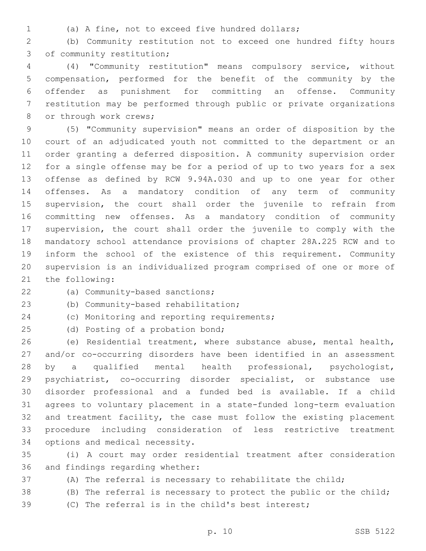- 
- (a) A fine, not to exceed five hundred dollars;

 (b) Community restitution not to exceed one hundred fifty hours 3 of community restitution;

 (4) "Community restitution" means compulsory service, without compensation, performed for the benefit of the community by the offender as punishment for committing an offense. Community restitution may be performed through public or private organizations 8 or through work crews;

 (5) "Community supervision" means an order of disposition by the court of an adjudicated youth not committed to the department or an order granting a deferred disposition. A community supervision order for a single offense may be for a period of up to two years for a sex offense as defined by RCW 9.94A.030 and up to one year for other offenses. As a mandatory condition of any term of community supervision, the court shall order the juvenile to refrain from committing new offenses. As a mandatory condition of community supervision, the court shall order the juvenile to comply with the mandatory school attendance provisions of chapter 28A.225 RCW and to inform the school of the existence of this requirement. Community supervision is an individualized program comprised of one or more of 21 the following:

22 (a) Community-based sanctions;

23 (b) Community-based rehabilitation;

24 (c) Monitoring and reporting requirements;

25 (d) Posting of a probation bond;

 (e) Residential treatment, where substance abuse, mental health, and/or co-occurring disorders have been identified in an assessment by a qualified mental health professional, psychologist, psychiatrist, co-occurring disorder specialist, or substance use disorder professional and a funded bed is available. If a child agrees to voluntary placement in a state-funded long-term evaluation and treatment facility, the case must follow the existing placement procedure including consideration of less restrictive treatment 34 options and medical necessity.

 (i) A court may order residential treatment after consideration 36 and findings regarding whether:

(A) The referral is necessary to rehabilitate the child;

(B) The referral is necessary to protect the public or the child;

(C) The referral is in the child's best interest;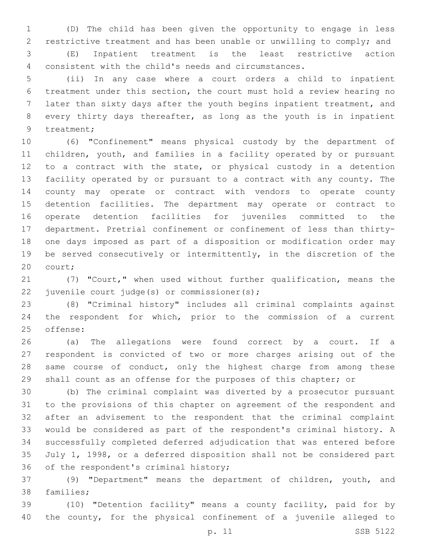(D) The child has been given the opportunity to engage in less restrictive treatment and has been unable or unwilling to comply; and (E) Inpatient treatment is the least restrictive action

consistent with the child's needs and circumstances.

 (ii) In any case where a court orders a child to inpatient treatment under this section, the court must hold a review hearing no later than sixty days after the youth begins inpatient treatment, and every thirty days thereafter, as long as the youth is in inpatient 9 treatment;

 (6) "Confinement" means physical custody by the department of children, youth, and families in a facility operated by or pursuant to a contract with the state, or physical custody in a detention facility operated by or pursuant to a contract with any county. The county may operate or contract with vendors to operate county detention facilities. The department may operate or contract to operate detention facilities for juveniles committed to the department. Pretrial confinement or confinement of less than thirty- one days imposed as part of a disposition or modification order may be served consecutively or intermittently, in the discretion of the 20 court;

 (7) "Court," when used without further qualification, means the 22 juvenile court judge(s) or commissioner(s);

 (8) "Criminal history" includes all criminal complaints against the respondent for which, prior to the commission of a current 25 offense:

 (a) The allegations were found correct by a court. If a respondent is convicted of two or more charges arising out of the 28 same course of conduct, only the highest charge from among these shall count as an offense for the purposes of this chapter; or

 (b) The criminal complaint was diverted by a prosecutor pursuant to the provisions of this chapter on agreement of the respondent and after an advisement to the respondent that the criminal complaint would be considered as part of the respondent's criminal history. A successfully completed deferred adjudication that was entered before July 1, 1998, or a deferred disposition shall not be considered part 36 of the respondent's criminal history;

 (9) "Department" means the department of children, youth, and 38 families;

 (10) "Detention facility" means a county facility, paid for by the county, for the physical confinement of a juvenile alleged to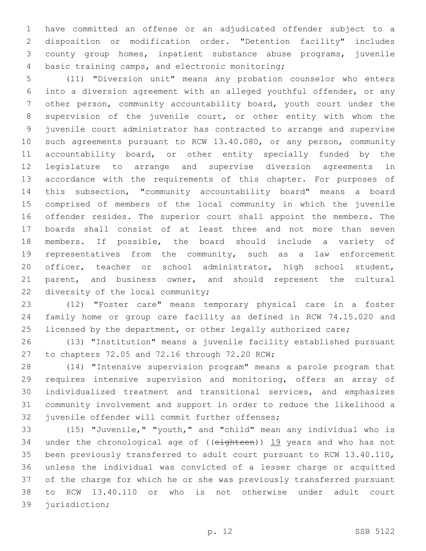have committed an offense or an adjudicated offender subject to a disposition or modification order. "Detention facility" includes county group homes, inpatient substance abuse programs, juvenile 4 basic training camps, and electronic monitoring;

 (11) "Diversion unit" means any probation counselor who enters into a diversion agreement with an alleged youthful offender, or any other person, community accountability board, youth court under the supervision of the juvenile court, or other entity with whom the juvenile court administrator has contracted to arrange and supervise such agreements pursuant to RCW 13.40.080, or any person, community accountability board, or other entity specially funded by the legislature to arrange and supervise diversion agreements in accordance with the requirements of this chapter. For purposes of this subsection, "community accountability board" means a board comprised of members of the local community in which the juvenile offender resides. The superior court shall appoint the members. The boards shall consist of at least three and not more than seven members. If possible, the board should include a variety of representatives from the community, such as a law enforcement officer, teacher or school administrator, high school student, parent, and business owner, and should represent the cultural 22 diversity of the local community;

 (12) "Foster care" means temporary physical care in a foster family home or group care facility as defined in RCW 74.15.020 and 25 licensed by the department, or other legally authorized care;

 (13) "Institution" means a juvenile facility established pursuant 27 to chapters 72.05 and 72.16 through 72.20 RCW;

 (14) "Intensive supervision program" means a parole program that requires intensive supervision and monitoring, offers an array of individualized treatment and transitional services, and emphasizes community involvement and support in order to reduce the likelihood a 32 juvenile offender will commit further offenses;

 (15) "Juvenile," "youth," and "child" mean any individual who is 34 under the chronological age of ((eighteen)) 19 years and who has not been previously transferred to adult court pursuant to RCW 13.40.110, unless the individual was convicted of a lesser charge or acquitted of the charge for which he or she was previously transferred pursuant to RCW 13.40.110 or who is not otherwise under adult court 39 jurisdiction;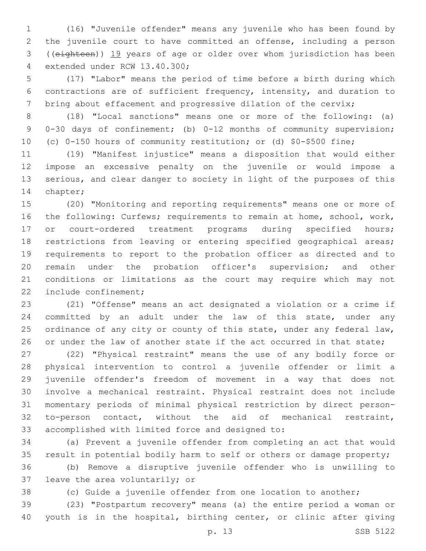(16) "Juvenile offender" means any juvenile who has been found by the juvenile court to have committed an offense, including a person ((eighteen)) 19 years of age or older over whom jurisdiction has been 4 extended under RCW 13.40.300;

 (17) "Labor" means the period of time before a birth during which contractions are of sufficient frequency, intensity, and duration to 7 bring about effacement and progressive dilation of the cervix;

 (18) "Local sanctions" means one or more of the following: (a) 0-30 days of confinement; (b) 0-12 months of community supervision; (c) 0-150 hours of community restitution; or (d) \$0-\$500 fine;

 (19) "Manifest injustice" means a disposition that would either impose an excessive penalty on the juvenile or would impose a serious, and clear danger to society in light of the purposes of this 14 chapter;

 (20) "Monitoring and reporting requirements" means one or more of the following: Curfews; requirements to remain at home, school, work, 17 or court-ordered treatment programs during specified hours; restrictions from leaving or entering specified geographical areas; requirements to report to the probation officer as directed and to remain under the probation officer's supervision; and other conditions or limitations as the court may require which may not 22 include confinement;

 (21) "Offense" means an act designated a violation or a crime if committed by an adult under the law of this state, under any 25 ordinance of any city or county of this state, under any federal law, 26 or under the law of another state if the act occurred in that state;

 (22) "Physical restraint" means the use of any bodily force or physical intervention to control a juvenile offender or limit a juvenile offender's freedom of movement in a way that does not involve a mechanical restraint. Physical restraint does not include momentary periods of minimal physical restriction by direct person- to-person contact, without the aid of mechanical restraint, 33 accomplished with limited force and designed to:

 (a) Prevent a juvenile offender from completing an act that would result in potential bodily harm to self or others or damage property;

 (b) Remove a disruptive juvenile offender who is unwilling to 37 leave the area voluntarily; or

(c) Guide a juvenile offender from one location to another;

 (23) "Postpartum recovery" means (a) the entire period a woman or youth is in the hospital, birthing center, or clinic after giving

p. 13 SSB 5122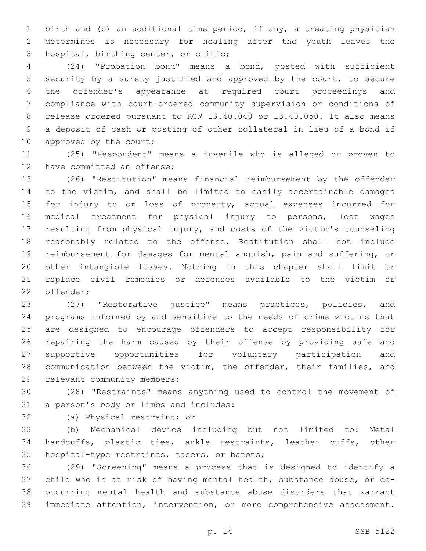birth and (b) an additional time period, if any, a treating physician determines is necessary for healing after the youth leaves the 3 hospital, birthing center, or clinic;

 (24) "Probation bond" means a bond, posted with sufficient security by a surety justified and approved by the court, to secure the offender's appearance at required court proceedings and compliance with court-ordered community supervision or conditions of release ordered pursuant to RCW 13.40.040 or 13.40.050. It also means a deposit of cash or posting of other collateral in lieu of a bond if 10 approved by the court;

 (25) "Respondent" means a juvenile who is alleged or proven to 12 have committed an offense;

 (26) "Restitution" means financial reimbursement by the offender to the victim, and shall be limited to easily ascertainable damages for injury to or loss of property, actual expenses incurred for medical treatment for physical injury to persons, lost wages resulting from physical injury, and costs of the victim's counseling reasonably related to the offense. Restitution shall not include reimbursement for damages for mental anguish, pain and suffering, or other intangible losses. Nothing in this chapter shall limit or replace civil remedies or defenses available to the victim or 22 offender;

 (27) "Restorative justice" means practices, policies, and programs informed by and sensitive to the needs of crime victims that are designed to encourage offenders to accept responsibility for repairing the harm caused by their offense by providing safe and supportive opportunities for voluntary participation and communication between the victim, the offender, their families, and 29 relevant community members;

 (28) "Restraints" means anything used to control the movement of 31 a person's body or limbs and includes:

32 (a) Physical restraint; or

 (b) Mechanical device including but not limited to: Metal handcuffs, plastic ties, ankle restraints, leather cuffs, other 35 hospital-type restraints, tasers, or batons;

 (29) "Screening" means a process that is designed to identify a child who is at risk of having mental health, substance abuse, or co- occurring mental health and substance abuse disorders that warrant immediate attention, intervention, or more comprehensive assessment.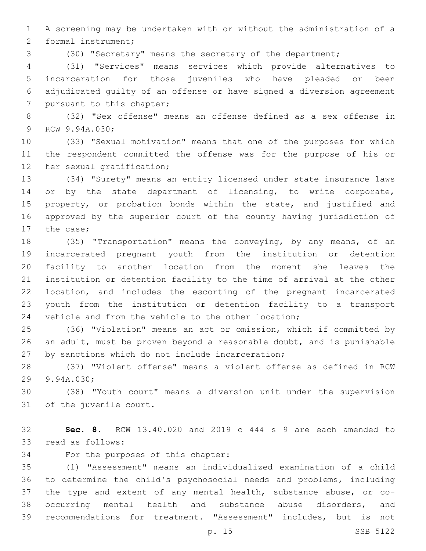A screening may be undertaken with or without the administration of a 2 formal instrument;

(30) "Secretary" means the secretary of the department;

 (31) "Services" means services which provide alternatives to incarceration for those juveniles who have pleaded or been adjudicated guilty of an offense or have signed a diversion agreement 7 pursuant to this chapter;

 (32) "Sex offense" means an offense defined as a sex offense in 9 RCW 9.94A.030;

 (33) "Sexual motivation" means that one of the purposes for which the respondent committed the offense was for the purpose of his or 12 her sexual gratification;

 (34) "Surety" means an entity licensed under state insurance laws 14 or by the state department of licensing, to write corporate, property, or probation bonds within the state, and justified and approved by the superior court of the county having jurisdiction of 17 the case;

 (35) "Transportation" means the conveying, by any means, of an incarcerated pregnant youth from the institution or detention facility to another location from the moment she leaves the institution or detention facility to the time of arrival at the other location, and includes the escorting of the pregnant incarcerated youth from the institution or detention facility to a transport vehicle and from the vehicle to the other location;

 (36) "Violation" means an act or omission, which if committed by an adult, must be proven beyond a reasonable doubt, and is punishable 27 by sanctions which do not include incarceration;

 (37) "Violent offense" means a violent offense as defined in RCW 29 9.94A.030;

 (38) "Youth court" means a diversion unit under the supervision 31 of the juvenile court.

 **Sec. 8.** RCW 13.40.020 and 2019 c 444 s 9 are each amended to 33 read as follows:

34 For the purposes of this chapter:

 (1) "Assessment" means an individualized examination of a child to determine the child's psychosocial needs and problems, including the type and extent of any mental health, substance abuse, or co- occurring mental health and substance abuse disorders, and recommendations for treatment. "Assessment" includes, but is not

p. 15 SSB 5122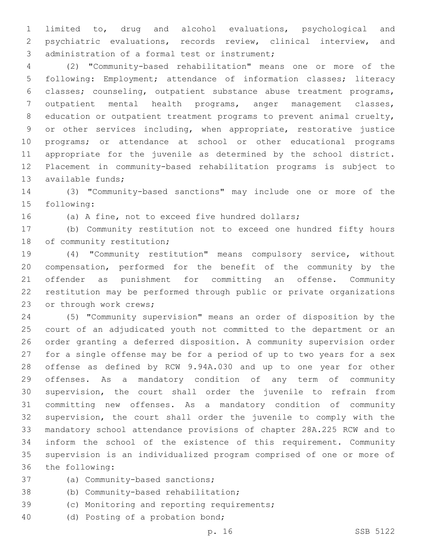limited to, drug and alcohol evaluations, psychological and psychiatric evaluations, records review, clinical interview, and 3 administration of a formal test or instrument;

 (2) "Community-based rehabilitation" means one or more of the following: Employment; attendance of information classes; literacy classes; counseling, outpatient substance abuse treatment programs, outpatient mental health programs, anger management classes, education or outpatient treatment programs to prevent animal cruelty, or other services including, when appropriate, restorative justice programs; or attendance at school or other educational programs appropriate for the juvenile as determined by the school district. Placement in community-based rehabilitation programs is subject to 13 available funds;

 (3) "Community-based sanctions" may include one or more of the 15 following:

(a) A fine, not to exceed five hundred dollars;

 (b) Community restitution not to exceed one hundred fifty hours 18 of community restitution;

 (4) "Community restitution" means compulsory service, without compensation, performed for the benefit of the community by the offender as punishment for committing an offense. Community restitution may be performed through public or private organizations 23 or through work crews;

 (5) "Community supervision" means an order of disposition by the court of an adjudicated youth not committed to the department or an order granting a deferred disposition. A community supervision order for a single offense may be for a period of up to two years for a sex offense as defined by RCW 9.94A.030 and up to one year for other offenses. As a mandatory condition of any term of community supervision, the court shall order the juvenile to refrain from committing new offenses. As a mandatory condition of community supervision, the court shall order the juvenile to comply with the mandatory school attendance provisions of chapter 28A.225 RCW and to inform the school of the existence of this requirement. Community supervision is an individualized program comprised of one or more of 36 the following:

- 37 (a) Community-based sanctions;
- 38 (b) Community-based rehabilitation;
- 39 (c) Monitoring and reporting requirements;
- 40 (d) Posting of a probation bond;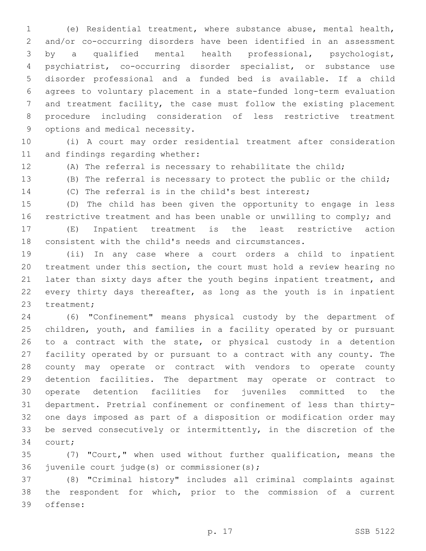(e) Residential treatment, where substance abuse, mental health, and/or co-occurring disorders have been identified in an assessment by a qualified mental health professional, psychologist, psychiatrist, co-occurring disorder specialist, or substance use disorder professional and a funded bed is available. If a child agrees to voluntary placement in a state-funded long-term evaluation and treatment facility, the case must follow the existing placement procedure including consideration of less restrictive treatment 9 options and medical necessity.

 (i) A court may order residential treatment after consideration 11 and findings regarding whether:

(A) The referral is necessary to rehabilitate the child;

(B) The referral is necessary to protect the public or the child;

(C) The referral is in the child's best interest;

 (D) The child has been given the opportunity to engage in less 16 restrictive treatment and has been unable or unwilling to comply; and

 (E) Inpatient treatment is the least restrictive action consistent with the child's needs and circumstances.

 (ii) In any case where a court orders a child to inpatient treatment under this section, the court must hold a review hearing no 21 later than sixty days after the youth begins inpatient treatment, and every thirty days thereafter, as long as the youth is in inpatient 23 treatment;

 (6) "Confinement" means physical custody by the department of children, youth, and families in a facility operated by or pursuant 26 to a contract with the state, or physical custody in a detention facility operated by or pursuant to a contract with any county. The county may operate or contract with vendors to operate county detention facilities. The department may operate or contract to operate detention facilities for juveniles committed to the department. Pretrial confinement or confinement of less than thirty- one days imposed as part of a disposition or modification order may be served consecutively or intermittently, in the discretion of the 34 court;

 (7) "Court," when used without further qualification, means the 36 juvenile court judge(s) or commissioner(s);

 (8) "Criminal history" includes all criminal complaints against the respondent for which, prior to the commission of a current 39 offense: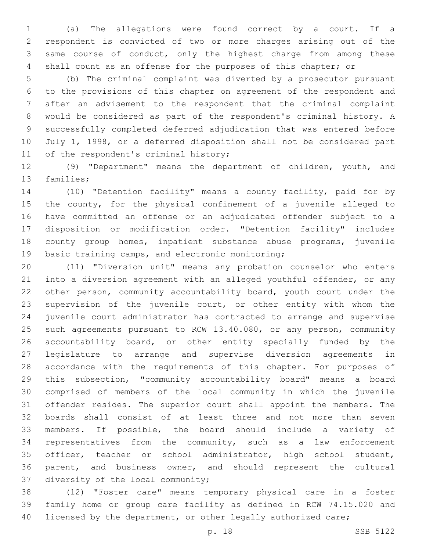(a) The allegations were found correct by a court. If a respondent is convicted of two or more charges arising out of the same course of conduct, only the highest charge from among these shall count as an offense for the purposes of this chapter; or

 (b) The criminal complaint was diverted by a prosecutor pursuant to the provisions of this chapter on agreement of the respondent and after an advisement to the respondent that the criminal complaint would be considered as part of the respondent's criminal history. A successfully completed deferred adjudication that was entered before July 1, 1998, or a deferred disposition shall not be considered part 11 of the respondent's criminal history;

 (9) "Department" means the department of children, youth, and 13 families;

 (10) "Detention facility" means a county facility, paid for by the county, for the physical confinement of a juvenile alleged to have committed an offense or an adjudicated offender subject to a disposition or modification order. "Detention facility" includes county group homes, inpatient substance abuse programs, juvenile 19 basic training camps, and electronic monitoring;

 (11) "Diversion unit" means any probation counselor who enters into a diversion agreement with an alleged youthful offender, or any other person, community accountability board, youth court under the supervision of the juvenile court, or other entity with whom the juvenile court administrator has contracted to arrange and supervise such agreements pursuant to RCW 13.40.080, or any person, community 26 accountability board, or other entity specially funded by the legislature to arrange and supervise diversion agreements in accordance with the requirements of this chapter. For purposes of this subsection, "community accountability board" means a board comprised of members of the local community in which the juvenile offender resides. The superior court shall appoint the members. The boards shall consist of at least three and not more than seven members. If possible, the board should include a variety of representatives from the community, such as a law enforcement officer, teacher or school administrator, high school student, parent, and business owner, and should represent the cultural 37 diversity of the local community;

 (12) "Foster care" means temporary physical care in a foster family home or group care facility as defined in RCW 74.15.020 and 40 licensed by the department, or other legally authorized care;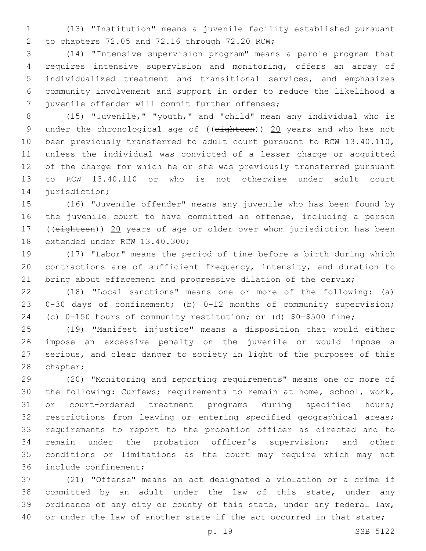(13) "Institution" means a juvenile facility established pursuant to chapters 72.05 and 72.16 through 72.20 RCW;2

 (14) "Intensive supervision program" means a parole program that requires intensive supervision and monitoring, offers an array of individualized treatment and transitional services, and emphasizes community involvement and support in order to reduce the likelihood a 7 juvenile offender will commit further offenses;

 (15) "Juvenile," "youth," and "child" mean any individual who is 9 under the chronological age of ((eighteen)) 20 years and who has not been previously transferred to adult court pursuant to RCW 13.40.110, unless the individual was convicted of a lesser charge or acquitted of the charge for which he or she was previously transferred pursuant to RCW 13.40.110 or who is not otherwise under adult court 14 jurisdiction;

 (16) "Juvenile offender" means any juvenile who has been found by the juvenile court to have committed an offense, including a person 17 ((eighteen)) 20 years of age or older over whom jurisdiction has been 18 extended under RCW 13.40.300;

 (17) "Labor" means the period of time before a birth during which contractions are of sufficient frequency, intensity, and duration to 21 bring about effacement and progressive dilation of the cervix;

 (18) "Local sanctions" means one or more of the following: (a) 0-30 days of confinement; (b) 0-12 months of community supervision; (c) 0-150 hours of community restitution; or (d) \$0-\$500 fine;

 (19) "Manifest injustice" means a disposition that would either impose an excessive penalty on the juvenile or would impose a serious, and clear danger to society in light of the purposes of this 28 chapter;

 (20) "Monitoring and reporting requirements" means one or more of the following: Curfews; requirements to remain at home, school, work, or court-ordered treatment programs during specified hours; restrictions from leaving or entering specified geographical areas; requirements to report to the probation officer as directed and to remain under the probation officer's supervision; and other conditions or limitations as the court may require which may not 36 include confinement;

 (21) "Offense" means an act designated a violation or a crime if committed by an adult under the law of this state, under any 39 ordinance of any city or county of this state, under any federal law, 40 or under the law of another state if the act occurred in that state;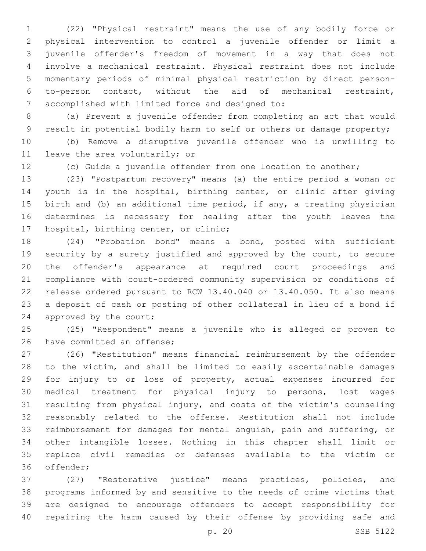(22) "Physical restraint" means the use of any bodily force or physical intervention to control a juvenile offender or limit a juvenile offender's freedom of movement in a way that does not involve a mechanical restraint. Physical restraint does not include momentary periods of minimal physical restriction by direct person- to-person contact, without the aid of mechanical restraint, accomplished with limited force and designed to:7

 (a) Prevent a juvenile offender from completing an act that would result in potential bodily harm to self or others or damage property;

 (b) Remove a disruptive juvenile offender who is unwilling to 11 leave the area voluntarily; or

(c) Guide a juvenile offender from one location to another;

 (23) "Postpartum recovery" means (a) the entire period a woman or youth is in the hospital, birthing center, or clinic after giving birth and (b) an additional time period, if any, a treating physician determines is necessary for healing after the youth leaves the 17 hospital, birthing center, or clinic;

 (24) "Probation bond" means a bond, posted with sufficient security by a surety justified and approved by the court, to secure the offender's appearance at required court proceedings and compliance with court-ordered community supervision or conditions of release ordered pursuant to RCW 13.40.040 or 13.40.050. It also means a deposit of cash or posting of other collateral in lieu of a bond if 24 approved by the court;

 (25) "Respondent" means a juvenile who is alleged or proven to 26 have committed an offense;

 (26) "Restitution" means financial reimbursement by the offender to the victim, and shall be limited to easily ascertainable damages for injury to or loss of property, actual expenses incurred for medical treatment for physical injury to persons, lost wages resulting from physical injury, and costs of the victim's counseling reasonably related to the offense. Restitution shall not include reimbursement for damages for mental anguish, pain and suffering, or other intangible losses. Nothing in this chapter shall limit or replace civil remedies or defenses available to the victim or 36 offender;

 (27) "Restorative justice" means practices, policies, and programs informed by and sensitive to the needs of crime victims that are designed to encourage offenders to accept responsibility for repairing the harm caused by their offense by providing safe and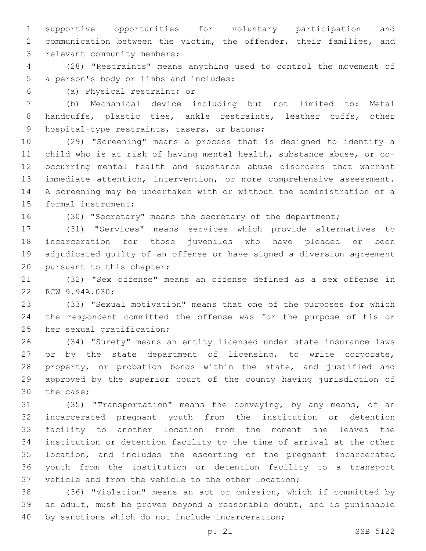supportive opportunities for voluntary participation and communication between the victim, the offender, their families, and 3 relevant community members;

 (28) "Restraints" means anything used to control the movement of 5 a person's body or limbs and includes:

(a) Physical restraint; or6

 (b) Mechanical device including but not limited to: Metal handcuffs, plastic ties, ankle restraints, leather cuffs, other 9 hospital-type restraints, tasers, or batons;

 (29) "Screening" means a process that is designed to identify a child who is at risk of having mental health, substance abuse, or co- occurring mental health and substance abuse disorders that warrant immediate attention, intervention, or more comprehensive assessment. A screening may be undertaken with or without the administration of a 15 formal instrument;

(30) "Secretary" means the secretary of the department;

 (31) "Services" means services which provide alternatives to incarceration for those juveniles who have pleaded or been adjudicated guilty of an offense or have signed a diversion agreement 20 pursuant to this chapter;

 (32) "Sex offense" means an offense defined as a sex offense in 22 RCW 9.94A.030;

 (33) "Sexual motivation" means that one of the purposes for which the respondent committed the offense was for the purpose of his or 25 her sexual gratification;

 (34) "Surety" means an entity licensed under state insurance laws 27 or by the state department of licensing, to write corporate, 28 property, or probation bonds within the state, and justified and approved by the superior court of the county having jurisdiction of 30 the case;

 (35) "Transportation" means the conveying, by any means, of an incarcerated pregnant youth from the institution or detention facility to another location from the moment she leaves the institution or detention facility to the time of arrival at the other location, and includes the escorting of the pregnant incarcerated youth from the institution or detention facility to a transport vehicle and from the vehicle to the other location;

 (36) "Violation" means an act or omission, which if committed by an adult, must be proven beyond a reasonable doubt, and is punishable 40 by sanctions which do not include incarceration;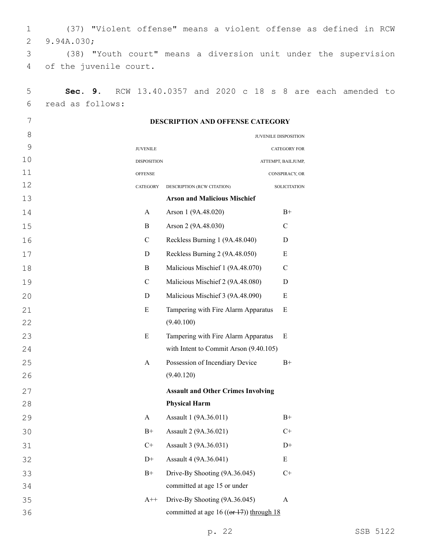1 (37) "Violent offense" means a violent offense as defined in RCW 2 9.94A.030;

3 (38) "Youth court" means a diversion unit under the supervision 4 of the juvenile court.

| 5     | Sec. 9.          | RCW 13.40.0357 and 2020 c 18 |                                  |                                              |  | - 8<br>$\rm S$       | are | each amended to |  |
|-------|------------------|------------------------------|----------------------------------|----------------------------------------------|--|----------------------|-----|-----------------|--|
| 6     | read as follows: |                              |                                  |                                              |  |                      |     |                 |  |
| 7     |                  |                              | DESCRIPTION AND OFFENSE CATEGORY |                                              |  |                      |     |                 |  |
| $8\,$ |                  |                              |                                  |                                              |  | JUVENILE DISPOSITION |     |                 |  |
| 9     |                  | <b>JUVENILE</b>              |                                  |                                              |  | <b>CATEGORY FOR</b>  |     |                 |  |
| 10    |                  | <b>DISPOSITION</b>           |                                  |                                              |  | ATTEMPT, BAILJUMP,   |     |                 |  |
| 11    |                  | <b>OFFENSE</b>               |                                  |                                              |  | CONSPIRACY, OR       |     |                 |  |
| 12    |                  | CATEGORY                     | DESCRIPTION (RCW CITATION)       |                                              |  | <b>SOLICITATION</b>  |     |                 |  |
| 13    |                  |                              |                                  | <b>Arson and Malicious Mischief</b>          |  |                      |     |                 |  |
| 14    |                  | A                            | Arson 1 (9A.48.020)              |                                              |  | $B+$                 |     |                 |  |
| 15    |                  | $\bf{B}$                     | Arson 2 (9A.48.030)              |                                              |  | $\mathsf{C}$         |     |                 |  |
| 16    |                  | $\mathcal{C}$                |                                  | Reckless Burning 1 (9A.48.040)               |  | D                    |     |                 |  |
| 17    |                  | D                            |                                  | Reckless Burning 2 (9A.48.050)               |  | ${\bf E}$            |     |                 |  |
| 18    |                  | B                            |                                  | Malicious Mischief 1 (9A.48.070)             |  | $\mathcal{C}$        |     |                 |  |
| 19    |                  | $\mathcal{C}$                |                                  | Malicious Mischief 2 (9A.48.080)             |  | ${\bf D}$            |     |                 |  |
| 20    |                  | $\mathbf D$                  |                                  | Malicious Mischief 3 (9A.48.090)             |  | ${\bf E}$            |     |                 |  |
| 21    |                  | E                            |                                  | Tampering with Fire Alarm Apparatus          |  | E                    |     |                 |  |
| 22    |                  |                              | (9.40.100)                       |                                              |  |                      |     |                 |  |
| 23    |                  | E                            |                                  | Tampering with Fire Alarm Apparatus          |  | E                    |     |                 |  |
| 24    |                  |                              |                                  | with Intent to Commit Arson (9.40.105)       |  |                      |     |                 |  |
| 25    |                  | A                            |                                  | Possession of Incendiary Device              |  | $B+$                 |     |                 |  |
| 26    |                  |                              | (9.40.120)                       |                                              |  |                      |     |                 |  |
| 27    |                  |                              |                                  | <b>Assault and Other Crimes Involving</b>    |  |                      |     |                 |  |
| 28    |                  |                              | <b>Physical Harm</b>             |                                              |  |                      |     |                 |  |
| 29    |                  | A                            | Assault 1 (9A.36.011)            |                                              |  | $B+$                 |     |                 |  |
| 30    |                  | $B+$                         | Assault 2 (9A.36.021)            |                                              |  | $C+$                 |     |                 |  |
| 31    |                  | $C+$                         | Assault 3 (9A.36.031)            |                                              |  | $D+$                 |     |                 |  |
| 32    |                  | $D+$                         | Assault 4 (9A.36.041)            |                                              |  | ${\bf E}$            |     |                 |  |
| 33    |                  | $B+$                         |                                  | Drive-By Shooting (9A.36.045)                |  | $C+$                 |     |                 |  |
| 34    |                  |                              |                                  | committed at age 15 or under                 |  |                      |     |                 |  |
| 35    |                  | $A++$                        |                                  | Drive-By Shooting (9A.36.045)                |  | A                    |     |                 |  |
| 36    |                  |                              |                                  | committed at age 16 (( $or 17$ )) through 18 |  |                      |     |                 |  |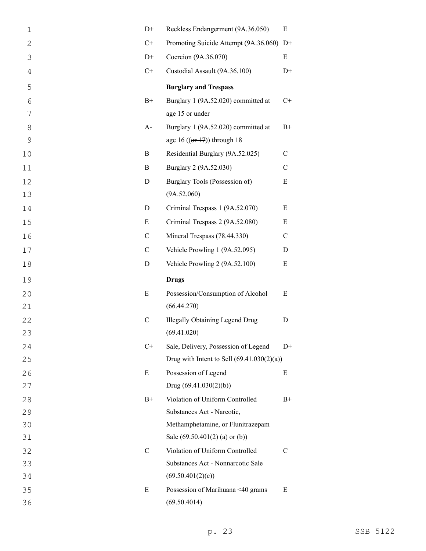| $\mathbf 1$  | $D+$          | Reckless Endangerment (9A.36.050)                 | ${\bf E}$     |
|--------------|---------------|---------------------------------------------------|---------------|
| $\mathbf{2}$ | $C+$          | Promoting Suicide Attempt (9A.36.060)             | $D+$          |
| 3            | $D+$          | Coercion (9A.36.070)                              | Ε             |
| 4            | $C+$          | Custodial Assault (9A.36.100)                     | $D+$          |
| 5            |               | <b>Burglary and Trespass</b>                      |               |
| 6            | $B+$          | Burglary 1 (9A.52.020) committed at               | $C+$          |
| 7            |               | age 15 or under                                   |               |
| 8            | $A-$          | Burglary 1 (9A.52.020) committed at               | $B+$          |
| $\mathsf{O}$ |               | age 16 $((or 17))$ through 18                     |               |
| 10           | B             | Residential Burglary (9A.52.025)                  | $\mathbf C$   |
| 11           | B             | Burglary 2 (9A.52.030)                            | $\mathbf C$   |
| 12           | D             | Burglary Tools (Possession of)                    | E             |
| 13           |               | (9A.52.060)                                       |               |
| 14           | D             | Criminal Trespass 1 (9A.52.070)                   | E             |
| 15           | E             | Criminal Trespass 2 (9A.52.080)                   | Ε             |
| 16           | $\mathbf C$   | Mineral Trespass (78.44.330)                      | $\mathcal{C}$ |
| 17           | $\mathbf C$   | Vehicle Prowling 1 (9A.52.095)                    | D             |
| 18           | D             | Vehicle Prowling 2 (9A.52.100)                    | Ε             |
|              |               |                                                   |               |
| 19           |               | <b>Drugs</b>                                      |               |
| 20           | E             | Possession/Consumption of Alcohol                 | Ε             |
| 21           |               | (66.44.270)                                       |               |
| 22           | $\mathbf C$   | <b>Illegally Obtaining Legend Drug</b>            | D             |
| 23           |               | (69.41.020)                                       |               |
| 24           | $C+$          | Sale, Delivery, Possession of Legend              | $D+$          |
| 25           |               | Drug with Intent to Sell $(69.41.030(2)(a))$      |               |
| 26           | E             | Possession of Legend                              | Ε             |
| 27           |               | Drug $(69.41.030(2)(b))$                          |               |
| 28           | $B+$          | Violation of Uniform Controlled                   | $B+$          |
| 29           |               | Substances Act - Narcotic,                        |               |
| 30           |               | Methamphetamine, or Flunitrazepam                 |               |
| 31           |               | Sale (69.50.401(2) (a) or (b))                    |               |
| 32           | $\mathcal{C}$ | Violation of Uniform Controlled                   | C             |
| 33           |               | Substances Act - Nonnarcotic Sale                 |               |
| 34           |               | (69.50.401(2)(c))                                 |               |
| 35<br>36     | E             | Possession of Marihuana <40 grams<br>(69.50.4014) | E             |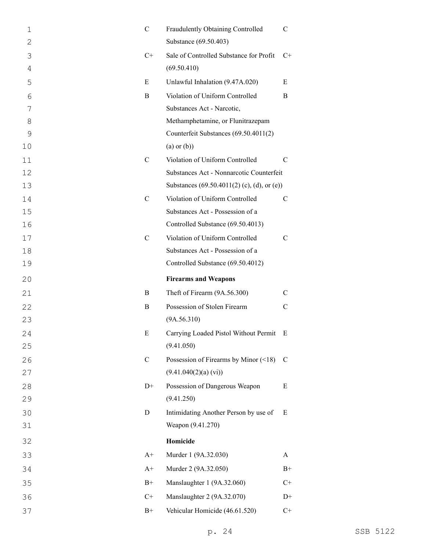| $\mathbf 1$ | $\mathbf C$   | Fraudulently Obtaining Controlled           | C             |
|-------------|---------------|---------------------------------------------|---------------|
| 2           |               | Substance (69.50.403)                       |               |
| 3           | $C+$          | Sale of Controlled Substance for Profit     | $C+$          |
| 4           |               | (69.50.410)                                 |               |
| 5           | E             | Unlawful Inhalation (9.47A.020)             | E             |
| 6           | B             | Violation of Uniform Controlled             | B             |
| 7           |               | Substances Act - Narcotic,                  |               |
| 8           |               | Methamphetamine, or Flunitrazepam           |               |
| 9           |               | Counterfeit Substances (69.50.4011(2)       |               |
| 10          |               | $(a)$ or $(b)$ )                            |               |
| 11          | $\mathcal{C}$ | Violation of Uniform Controlled             | C             |
| 12          |               | Substances Act - Nonnarcotic Counterfeit    |               |
| 13          |               | Substances (69.50.4011(2) (c), (d), or (e)) |               |
| 14          | $\mathcal{C}$ | Violation of Uniform Controlled             | C             |
| 15          |               | Substances Act - Possession of a            |               |
| 16          |               | Controlled Substance (69.50.4013)           |               |
| 17          | $\mathcal{C}$ | Violation of Uniform Controlled             | C             |
| 18          |               | Substances Act - Possession of a            |               |
| 19          |               | Controlled Substance (69.50.4012)           |               |
| 20          |               | <b>Firearms and Weapons</b>                 |               |
|             |               |                                             |               |
| 21          | B             | Theft of Firearm (9A.56.300)                | C             |
| 22          | B             | Possession of Stolen Firearm                | C             |
| 23          |               | (9A.56.310)                                 |               |
| 24          | E             | Carrying Loaded Pistol Without Permit       | E             |
| 25          |               | (9.41.050)                                  |               |
| 26          | $\mathbf C$   | Possession of Firearms by Minor $($ 18)     | $\mathcal{C}$ |
| 27          |               | (9.41.040(2)(a) (vi))                       |               |
| 28          | $D+$          | Possession of Dangerous Weapon              | E             |
| 29          |               | (9.41.250)                                  |               |
| 30          | D             | Intimidating Another Person by use of       | E             |
| 31          |               | Weapon (9.41.270)                           |               |
| 32          |               | Homicide                                    |               |
| 33          | $A+$          | Murder 1 (9A.32.030)                        | A             |
| 34          | $A+$          | Murder 2 (9A.32.050)                        | $B+$          |
| 35          | $B+$          | Manslaughter 1 (9A.32.060)                  | $C+$          |
| 36          | $C+$          | Manslaughter 2 (9A.32.070)                  | $D+$          |
| 37          | $B+$          | Vehicular Homicide (46.61.520)              | $C+$          |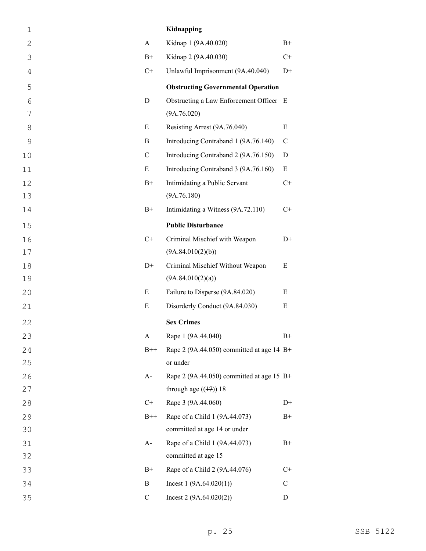| $\mathbf 1$  |             | Kidnapping                                  |               |
|--------------|-------------|---------------------------------------------|---------------|
| $\mathbf{2}$ | A           | Kidnap 1 (9A.40.020)                        | $B+$          |
| 3            | $B+$        | Kidnap 2 (9A.40.030)                        | $C+$          |
| 4            | $C+$        | Unlawful Imprisonment (9A.40.040)           | $D+$          |
| 5            |             | <b>Obstructing Governmental Operation</b>   |               |
| 6            | $\mathbf D$ | Obstructing a Law Enforcement Officer E     |               |
| 7            |             | (9A.76.020)                                 |               |
| 8            | E           | Resisting Arrest (9A.76.040)                | E             |
| 9            | B           | Introducing Contraband 1 (9A.76.140)        | $\mathcal{C}$ |
| 10           | $\mathbf C$ | Introducing Contraband 2 (9A.76.150)        | D             |
| 11           | E           | Introducing Contraband 3 (9A.76.160)        | E             |
| 12           | $B+$        | Intimidating a Public Servant               | $C+$          |
| 13           |             | (9A.76.180)                                 |               |
| 14           | $B+$        | Intimidating a Witness (9A.72.110)          | $C+$          |
| 15           |             | <b>Public Disturbance</b>                   |               |
| 16           | $C+$        | Criminal Mischief with Weapon               | $D+$          |
| 17           |             | (9A.84.010(2)(b))                           |               |
| 18           | $D+$        | Criminal Mischief Without Weapon            | E             |
| 19           |             | (9A.84.010(2)(a))                           |               |
| 20           | E           | Failure to Disperse (9A.84.020)             | Ε             |
| 21           | E           | Disorderly Conduct (9A.84.030)              | E             |
| 22           |             | <b>Sex Crimes</b>                           |               |
| 23           | A           | Rape 1 (9A.44.040)                          | $B+$          |
| 24           | $B++$       | Rape 2 (9A.44.050) committed at age 14 $B+$ |               |
| 25           |             | or under                                    |               |
| 26           | A-          | Rape 2 (9A.44.050) committed at age 15 $B+$ |               |
| 27           |             | through age $((17))$ 18                     |               |
| 28           | $C+$        | Rape 3 (9A.44.060)                          | $D+$          |
| 29           | $B++$       | Rape of a Child 1 (9A.44.073)               | $B+$          |
| 30           |             | committed at age 14 or under                |               |
| 31           | A-          | Rape of a Child 1 (9A.44.073)               | $B+$          |
| 32           |             | committed at age 15                         |               |
| 33           | $B+$        | Rape of a Child 2 (9A.44.076)               | $C+$          |
| 34           | $\bf{B}$    | Incest $1(9A.64.020(1))$                    | $\mathcal{C}$ |
| 35           | $\mathbf C$ | Incest $2(9A.64.020(2))$                    | D             |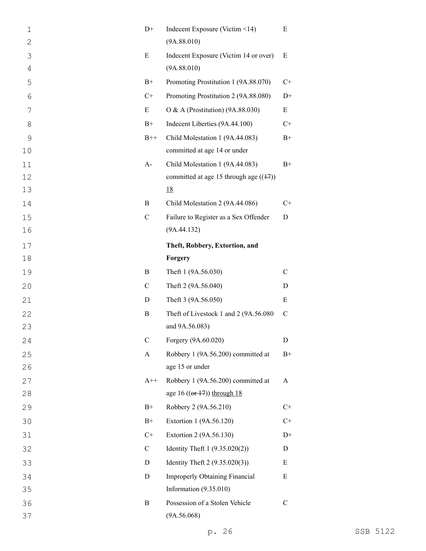| $\mathbf 1$  | $D+$          | Indecent Exposure (Victim <14)           | Ε             |
|--------------|---------------|------------------------------------------|---------------|
| $\mathbf{2}$ |               | (9A.88.010)                              |               |
| 3            | E             | Indecent Exposure (Victim 14 or over)    | E             |
| 4            |               | (9A.88.010)                              |               |
| 5            | $B+$          | Promoting Prostitution 1 (9A.88.070)     | $C+$          |
| 6            | $C+$          | Promoting Prostitution 2 (9A.88.080)     | $D+$          |
| 7            | E             | O & A (Prostitution) (9A.88.030)         | E             |
| 8            | $B+$          | Indecent Liberties (9A.44.100)           | $C+$          |
| $\mathsf{O}$ | $B++$         | Child Molestation 1 (9A.44.083)          | $B+$          |
| 10           |               | committed at age 14 or under             |               |
| 11           | $A-$          | Child Molestation 1 (9A.44.083)          | $B+$          |
| 12           |               | committed at age 15 through age $((17))$ |               |
| 13           |               | <u>18</u>                                |               |
| 14           | B             | Child Molestation 2 (9A.44.086)          | $C+$          |
| 15           | $\mathcal{C}$ | Failure to Register as a Sex Offender    | D             |
| 16           |               | (9A.44.132)                              |               |
| 17           |               | Theft, Robbery, Extortion, and           |               |
| 18           |               | Forgery                                  |               |
| 19           | B             | Theft 1 (9A.56.030)                      | $\mathcal{C}$ |
| 20           | $\mathsf{C}$  | Theft 2 (9A.56.040)                      | D             |
| 21           | D             | Theft 3 (9A.56.050)                      | E             |
| 22           | B             | Theft of Livestock 1 and 2 (9A.56.080    | $\mathcal{C}$ |
| 23           |               | and 9A.56.083)                           |               |
| 24           | $\mathsf C$   | Forgery (9A.60.020)                      | D             |
| 25           | A             | Robbery 1 (9A.56.200) committed at       | $B+$          |
| 26           |               | age 15 or under                          |               |
| 27           | $A++$         | Robbery 1 (9A.56.200) committed at       | A             |
| 28           |               | age 16 $((or 17))$ through 18            |               |
| 29           | $B+$          | Robbery 2 (9A.56.210)                    | $C+$          |
| 30           | $B+$          | Extortion 1 (9A.56.120)                  | $C+$          |
| 31           | $C+$          | Extortion 2 (9A.56.130)                  | $D+$          |
| 32           | $\mathsf{C}$  | Identity Theft $1 (9.35.020(2))$         | D             |
| 33           | D             | Identity Theft $2(9.35.020(3))$          | E             |
| 34           | D             | <b>Improperly Obtaining Financial</b>    | Ε             |
| 35           |               | Information $(9.35.010)$                 |               |
| 36           | B             | Possession of a Stolen Vehicle           | $\mathcal{C}$ |
| 37           |               | (9A.56.068)                              |               |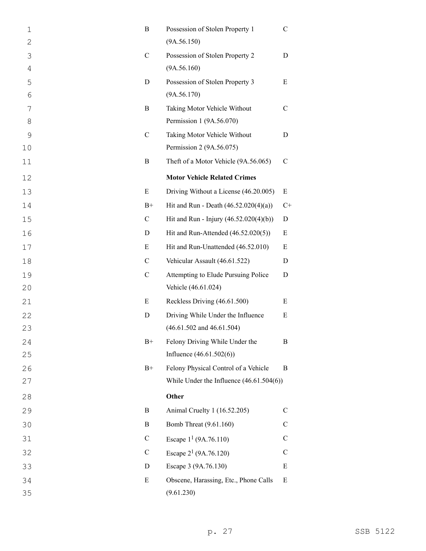| $\mathbf 1$    | B             | Possession of Stolen Property 1            | C             |
|----------------|---------------|--------------------------------------------|---------------|
| $\mathbf{2}$   |               | (9A.56.150)                                |               |
| 3              | $\mathcal{C}$ | Possession of Stolen Property 2            | D             |
| $\overline{4}$ |               | (9A.56.160)                                |               |
| 5              | D             | Possession of Stolen Property 3            | E             |
| 6              |               | (9A.56.170)                                |               |
| 7              | B             | Taking Motor Vehicle Without               | C             |
| 8              |               | Permission 1 (9A.56.070)                   |               |
| 9              | $\mathcal{C}$ | Taking Motor Vehicle Without               | D             |
| 10             |               | Permission 2 (9A.56.075)                   |               |
| 11             | B             | Theft of a Motor Vehicle (9A.56.065)       | $\mathcal{C}$ |
| 12             |               | <b>Motor Vehicle Related Crimes</b>        |               |
| 13             | E             | Driving Without a License (46.20.005)      | Ε             |
| 14             | $B+$          | Hit and Run - Death $(46.52.020(4)(a))$    | $C+$          |
| 15             | $\mathcal{C}$ | Hit and Run - Injury (46.52.020(4)(b))     | D             |
| 16             | D             | Hit and Run-Attended (46.52.020(5))        | Ε             |
| 17             | E             | Hit and Run-Unattended (46.52.010)         | Ε             |
| 18             | $\mathcal{C}$ | Vehicular Assault (46.61.522)              | D             |
| 19             | $\mathcal{C}$ | Attempting to Elude Pursuing Police        | D             |
| 20             |               | Vehicle (46.61.024)                        |               |
| 21             | E             | Reckless Driving (46.61.500)               | Ε             |
| 22             | D             | Driving While Under the Influence          | E             |
| 23             |               | $(46.61.502$ and $46.61.504)$              |               |
| 24             | $B+$          | Felony Driving While Under the             | B             |
| 25             |               | Influence $(46.61.502(6))$                 |               |
| 26             | $B+$          | Felony Physical Control of a Vehicle       | B             |
| 27             |               | While Under the Influence $(46.61.504(6))$ |               |
| 28             |               | Other                                      |               |
| 29             | B             | Animal Cruelty 1 (16.52.205)               | C             |
| 30             | B             | Bomb Threat (9.61.160)                     | C             |
| 31             | $\mathsf{C}$  | Escape $1^1$ (9A.76.110)                   | C             |
| 32             | $\mathsf{C}$  | Escape $2^1$ (9A.76.120)                   | C             |
| 33             | D             | Escape 3 (9A.76.130)                       | E             |
| 34             | E             | Obscene, Harassing, Etc., Phone Calls      | E             |
| 35             |               | (9.61.230)                                 |               |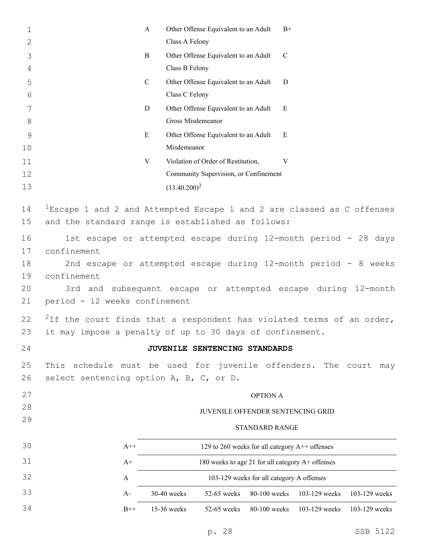| 1             | A                                                                                 |             | Other Offense Equivalent to an Adult             |                       | $B+$          |               |                  |
|---------------|-----------------------------------------------------------------------------------|-------------|--------------------------------------------------|-----------------------|---------------|---------------|------------------|
| 2             |                                                                                   |             | Class A Felony                                   |                       |               |               |                  |
| 3             | B                                                                                 |             | Other Offense Equivalent to an Adult             |                       | $\mathcal{C}$ |               |                  |
| 4             |                                                                                   |             | Class B Felony                                   |                       |               |               |                  |
| 5             | $\mathcal{C}$                                                                     |             | Other Offense Equivalent to an Adult             |                       | D             |               |                  |
| 6             |                                                                                   |             | Class C Felony                                   |                       |               |               |                  |
| 7             | D                                                                                 |             | Other Offense Equivalent to an Adult             |                       | E             |               |                  |
| $8\,$         |                                                                                   |             | Gross Misdemeanor                                |                       |               |               |                  |
| $\mathcal{G}$ | E                                                                                 |             | Other Offense Equivalent to an Adult             |                       | E             |               |                  |
| 10            |                                                                                   |             | Misdemeanor                                      |                       |               |               |                  |
| 11            | V                                                                                 |             | Violation of Order of Restitution,               |                       | V             |               |                  |
| 12            |                                                                                   |             | Community Supervision, or Confinement            |                       |               |               |                  |
| 13            |                                                                                   |             | $(13.40.200)^2$                                  |                       |               |               |                  |
| 14            | $1$ Escape 1 and 2 and Attempted Escape 1 and 2 are classed as C offenses         |             |                                                  |                       |               |               |                  |
| 15            | and the standard range is established as follows:                                 |             |                                                  |                       |               |               |                  |
| 16            | 1st escape or attempted escape during 12-month period - 28 days                   |             |                                                  |                       |               |               |                  |
| 17            | confinement                                                                       |             |                                                  |                       |               |               |                  |
| 18            | 2nd escape or attempted escape during 12-month period - 8 weeks                   |             |                                                  |                       |               |               |                  |
| 19            | confinement                                                                       |             |                                                  |                       |               |               |                  |
| 20            | 3rd and subsequent escape or attempted escape during 12-month                     |             |                                                  |                       |               |               |                  |
| 21            | period - 12 weeks confinement                                                     |             |                                                  |                       |               |               |                  |
| 22            | <sup>2</sup> If the court finds that a respondent has violated terms of an order, |             |                                                  |                       |               |               |                  |
| 23            | it may impose a penalty of up to 30 days of confinement.                          |             |                                                  |                       |               |               |                  |
| 24            |                                                                                   |             | JUVENILE SENTENCING STANDARDS                    |                       |               |               |                  |
| 25            | schedule must be used for juvenile offenders.<br>This                             |             |                                                  |                       |               |               | The court<br>may |
| 26            | select sentencing option A, B, C, or D.                                           |             |                                                  |                       |               |               |                  |
| 27            |                                                                                   |             |                                                  | <b>OPTION A</b>       |               |               |                  |
| 28            |                                                                                   |             | JUVENILE OFFENDER SENTENCING GRID                |                       |               |               |                  |
| 29            |                                                                                   |             |                                                  |                       |               |               |                  |
|               |                                                                                   |             |                                                  | <b>STANDARD RANGE</b> |               |               |                  |
| 30            | $A++$                                                                             |             | 129 to 260 weeks for all category A++ offenses   |                       |               |               |                  |
| 31            | $A+$                                                                              |             | 180 weeks to age 21 for all category A+ offenses |                       |               |               |                  |
| 32            | A                                                                                 |             | 103-129 weeks for all category A offenses        |                       |               |               |                  |
| 33            | $A-$                                                                              | 30-40 weeks | 52-65 weeks                                      | 80-100 weeks          |               | 103-129 weeks | 103-129 weeks    |
| 34            | $B++$                                                                             | 15-36 weeks | 52-65 weeks                                      | 80-100 weeks          |               | 103-129 weeks | 103-129 weeks    |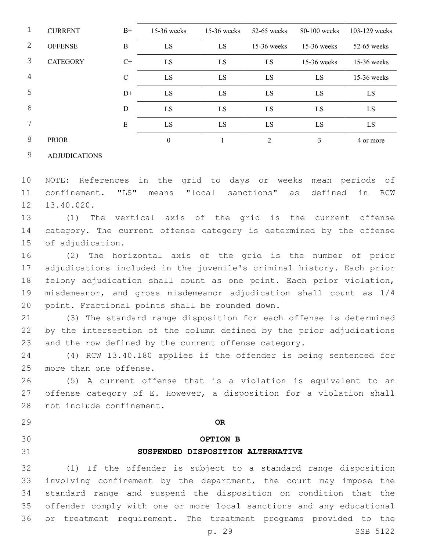| 1 | <b>CURRENT</b>  | $B+$             | $15-36$ weeks | $15-36$ weeks | $52-65$ weeks  | $80-100$ weeks | $103 - 129$ weeks |
|---|-----------------|------------------|---------------|---------------|----------------|----------------|-------------------|
| 2 | <b>OFFENSE</b>  | $\boldsymbol{B}$ | LS            | LS            | $15-36$ weeks  | $15-36$ weeks  | $52-65$ weeks     |
| 3 | <b>CATEGORY</b> | $C+$             | LS            | LS            | LS             | $15-36$ weeks  | $15-36$ weeks     |
| 4 |                 | $\mathbf C$      | LS            | LS            | LS             | LS             | $15-36$ weeks     |
| 5 |                 | $D+$             | LS            | LS            | LS             | LS             | LS                |
| 6 |                 | D                | LS            | LS            | LS             | LS             | LS.               |
| 7 |                 | ${\bf E}$        | LS            | LS            | LS             | LS             | LS                |
| 8 | <b>PRIOR</b>    |                  | $\mathbf{0}$  |               | $\mathfrak{D}$ | 3              | 4 or more         |

### ADJUDICATIONS

 NOTE: References in the grid to days or weeks mean periods of confinement. "LS" means "local sanctions" as defined in RCW 12 13.40.020.

 (1) The vertical axis of the grid is the current offense category. The current offense category is determined by the offense 15 of adjudication.

 (2) The horizontal axis of the grid is the number of prior adjudications included in the juvenile's criminal history. Each prior felony adjudication shall count as one point. Each prior violation, misdemeanor, and gross misdemeanor adjudication shall count as 1/4 20 point. Fractional points shall be rounded down.

 (3) The standard range disposition for each offense is determined by the intersection of the column defined by the prior adjudications and the row defined by the current offense category.

 (4) RCW 13.40.180 applies if the offender is being sentenced for 25 more than one offense.

 (5) A current offense that is a violation is equivalent to an offense category of E. However, a disposition for a violation shall 28 not include confinement.

- **OR**
- **OPTION B**
- 

# **SUSPENDED DISPOSITION ALTERNATIVE**

 (1) If the offender is subject to a standard range disposition involving confinement by the department, the court may impose the standard range and suspend the disposition on condition that the offender comply with one or more local sanctions and any educational or treatment requirement. The treatment programs provided to the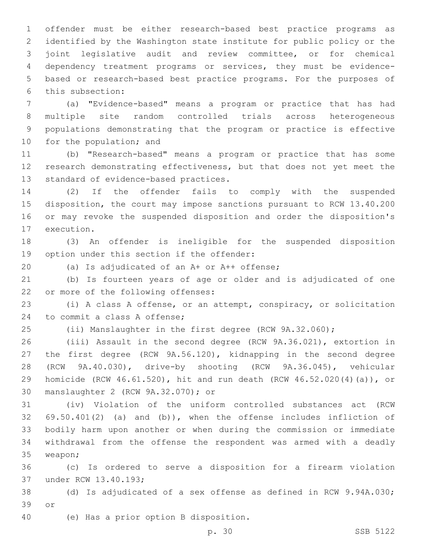offender must be either research-based best practice programs as identified by the Washington state institute for public policy or the joint legislative audit and review committee, or for chemical dependency treatment programs or services, they must be evidence- based or research-based best practice programs. For the purposes of this subsection:6

 (a) "Evidence-based" means a program or practice that has had multiple site random controlled trials across heterogeneous populations demonstrating that the program or practice is effective 10 for the population; and

 (b) "Research-based" means a program or practice that has some research demonstrating effectiveness, but that does not yet meet the 13 standard of evidence-based practices.

 (2) If the offender fails to comply with the suspended disposition, the court may impose sanctions pursuant to RCW 13.40.200 or may revoke the suspended disposition and order the disposition's 17 execution.

 (3) An offender is ineligible for the suspended disposition 19 option under this section if the offender:

20 (a) Is adjudicated of an A+ or A++ offense;

 (b) Is fourteen years of age or older and is adjudicated of one 22 or more of the following offenses:

 (i) A class A offense, or an attempt, conspiracy, or solicitation 24 to commit a class A offense;

(ii) Manslaughter in the first degree (RCW 9A.32.060);

 (iii) Assault in the second degree (RCW 9A.36.021), extortion in the first degree (RCW 9A.56.120), kidnapping in the second degree (RCW 9A.40.030), drive-by shooting (RCW 9A.36.045), vehicular homicide (RCW 46.61.520), hit and run death (RCW 46.52.020(4)(a)), or manslaughter 2 (RCW 9A.32.070); or30

 (iv) Violation of the uniform controlled substances act (RCW 69.50.401(2) (a) and (b)), when the offense includes infliction of bodily harm upon another or when during the commission or immediate withdrawal from the offense the respondent was armed with a deadly 35 weapon;

 (c) Is ordered to serve a disposition for a firearm violation 37 under RCW 13.40.193;

 (d) Is adjudicated of a sex offense as defined in RCW 9.94A.030; 39 or

(e) Has a prior option B disposition.40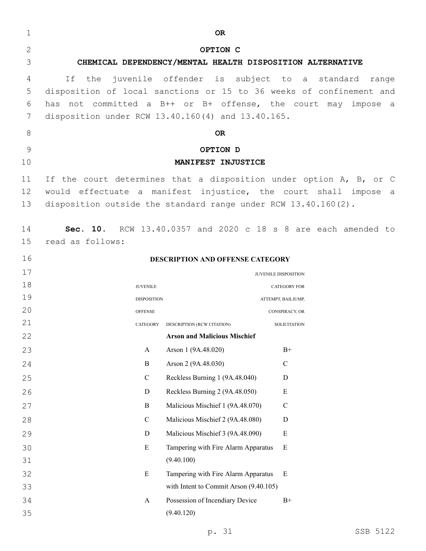| $\mathbf{2}$<br>OPTION C<br>3<br>CHEMICAL DEPENDENCY/MENTAL HEALTH DISPOSITION ALTERNATIVE<br>juvenile offender is subject to a standard<br>If<br>the<br>4<br>5<br>disposition of local sanctions or 15 to 36 weeks of confinement and<br>has not committed a B++ or B+ offense, the court may impose a<br>6<br>7<br>disposition under RCW 13.40.160(4) and 13.40.165.<br>8<br><b>OR</b><br>9<br>OPTION D<br>10<br>MANIFEST INJUSTICE<br>If the court determines that a disposition under option A, B, or C<br>11<br>would effectuate a manifest injustice, the court shall impose a<br>12<br>13<br>disposition outside the standard range under RCW 13.40.160(2).<br>Sec. 10. RCW 13.40.0357 and 2020 c 18 s 8 are each amended to<br>14<br>15<br>read as follows:<br>16<br>DESCRIPTION AND OFFENSE CATEGORY<br>17<br>JUVENILE DISPOSITION<br>18<br><b>JUVENILE</b><br><b>CATEGORY FOR</b><br>19<br><b>DISPOSITION</b><br>ATTEMPT, BAILJUMP,<br>20<br><b>OFFENSE</b><br>CONSPIRACY, OR<br>21<br>CATEGORY<br>DESCRIPTION (RCW CITATION)<br><b>SOLICITATION</b><br>22<br><b>Arson and Malicious Mischief</b><br>$\rm B^+$<br>Arson 1 (9A.48.020)<br>23<br>A<br>$\mathbf B$<br>Arson 2 (9A.48.030)<br>$\mathbf C$<br>24<br>Reckless Burning 1 (9A.48.040)<br>$\mathbf C$<br>25<br>D<br>Reckless Burning 2 (9A.48.050)<br>${\bf E}$<br>$\mathbf D$<br>26<br>Malicious Mischief 1 (9A.48.070)<br>27<br>$\mathbf B$<br>$\mathbf C$<br>Malicious Mischief 2 (9A.48.080)<br>$\mathbf C$<br>$\mathbf D$<br>28<br>Malicious Mischief 3 (9A.48.090)<br>${\bf E}$<br>29<br>$\mathbf D$<br>30<br>${\bf E}$<br>Tampering with Fire Alarm Apparatus<br>E<br>31<br>(9.40.100)<br>$\mathbf E$<br>Tampering with Fire Alarm Apparatus<br>Ε<br>32<br>with Intent to Commit Arson (9.40.105)<br>33<br>Possession of Incendiary Device<br>$B+$<br>34<br>A<br>35<br>(9.40.120) | $\mathbf 1$ | OR. |       |
|-----------------------------------------------------------------------------------------------------------------------------------------------------------------------------------------------------------------------------------------------------------------------------------------------------------------------------------------------------------------------------------------------------------------------------------------------------------------------------------------------------------------------------------------------------------------------------------------------------------------------------------------------------------------------------------------------------------------------------------------------------------------------------------------------------------------------------------------------------------------------------------------------------------------------------------------------------------------------------------------------------------------------------------------------------------------------------------------------------------------------------------------------------------------------------------------------------------------------------------------------------------------------------------------------------------------------------------------------------------------------------------------------------------------------------------------------------------------------------------------------------------------------------------------------------------------------------------------------------------------------------------------------------------------------------------------------------------------------------------------------------------------------------------------------------------------------------------------------------------|-------------|-----|-------|
|                                                                                                                                                                                                                                                                                                                                                                                                                                                                                                                                                                                                                                                                                                                                                                                                                                                                                                                                                                                                                                                                                                                                                                                                                                                                                                                                                                                                                                                                                                                                                                                                                                                                                                                                                                                                                                                           |             |     |       |
|                                                                                                                                                                                                                                                                                                                                                                                                                                                                                                                                                                                                                                                                                                                                                                                                                                                                                                                                                                                                                                                                                                                                                                                                                                                                                                                                                                                                                                                                                                                                                                                                                                                                                                                                                                                                                                                           |             |     |       |
|                                                                                                                                                                                                                                                                                                                                                                                                                                                                                                                                                                                                                                                                                                                                                                                                                                                                                                                                                                                                                                                                                                                                                                                                                                                                                                                                                                                                                                                                                                                                                                                                                                                                                                                                                                                                                                                           |             |     | range |
|                                                                                                                                                                                                                                                                                                                                                                                                                                                                                                                                                                                                                                                                                                                                                                                                                                                                                                                                                                                                                                                                                                                                                                                                                                                                                                                                                                                                                                                                                                                                                                                                                                                                                                                                                                                                                                                           |             |     |       |
|                                                                                                                                                                                                                                                                                                                                                                                                                                                                                                                                                                                                                                                                                                                                                                                                                                                                                                                                                                                                                                                                                                                                                                                                                                                                                                                                                                                                                                                                                                                                                                                                                                                                                                                                                                                                                                                           |             |     |       |
|                                                                                                                                                                                                                                                                                                                                                                                                                                                                                                                                                                                                                                                                                                                                                                                                                                                                                                                                                                                                                                                                                                                                                                                                                                                                                                                                                                                                                                                                                                                                                                                                                                                                                                                                                                                                                                                           |             |     |       |
|                                                                                                                                                                                                                                                                                                                                                                                                                                                                                                                                                                                                                                                                                                                                                                                                                                                                                                                                                                                                                                                                                                                                                                                                                                                                                                                                                                                                                                                                                                                                                                                                                                                                                                                                                                                                                                                           |             |     |       |
|                                                                                                                                                                                                                                                                                                                                                                                                                                                                                                                                                                                                                                                                                                                                                                                                                                                                                                                                                                                                                                                                                                                                                                                                                                                                                                                                                                                                                                                                                                                                                                                                                                                                                                                                                                                                                                                           |             |     |       |
|                                                                                                                                                                                                                                                                                                                                                                                                                                                                                                                                                                                                                                                                                                                                                                                                                                                                                                                                                                                                                                                                                                                                                                                                                                                                                                                                                                                                                                                                                                                                                                                                                                                                                                                                                                                                                                                           |             |     |       |
|                                                                                                                                                                                                                                                                                                                                                                                                                                                                                                                                                                                                                                                                                                                                                                                                                                                                                                                                                                                                                                                                                                                                                                                                                                                                                                                                                                                                                                                                                                                                                                                                                                                                                                                                                                                                                                                           |             |     |       |
|                                                                                                                                                                                                                                                                                                                                                                                                                                                                                                                                                                                                                                                                                                                                                                                                                                                                                                                                                                                                                                                                                                                                                                                                                                                                                                                                                                                                                                                                                                                                                                                                                                                                                                                                                                                                                                                           |             |     |       |
|                                                                                                                                                                                                                                                                                                                                                                                                                                                                                                                                                                                                                                                                                                                                                                                                                                                                                                                                                                                                                                                                                                                                                                                                                                                                                                                                                                                                                                                                                                                                                                                                                                                                                                                                                                                                                                                           |             |     |       |
|                                                                                                                                                                                                                                                                                                                                                                                                                                                                                                                                                                                                                                                                                                                                                                                                                                                                                                                                                                                                                                                                                                                                                                                                                                                                                                                                                                                                                                                                                                                                                                                                                                                                                                                                                                                                                                                           |             |     |       |
|                                                                                                                                                                                                                                                                                                                                                                                                                                                                                                                                                                                                                                                                                                                                                                                                                                                                                                                                                                                                                                                                                                                                                                                                                                                                                                                                                                                                                                                                                                                                                                                                                                                                                                                                                                                                                                                           |             |     |       |
|                                                                                                                                                                                                                                                                                                                                                                                                                                                                                                                                                                                                                                                                                                                                                                                                                                                                                                                                                                                                                                                                                                                                                                                                                                                                                                                                                                                                                                                                                                                                                                                                                                                                                                                                                                                                                                                           |             |     |       |
|                                                                                                                                                                                                                                                                                                                                                                                                                                                                                                                                                                                                                                                                                                                                                                                                                                                                                                                                                                                                                                                                                                                                                                                                                                                                                                                                                                                                                                                                                                                                                                                                                                                                                                                                                                                                                                                           |             |     |       |
|                                                                                                                                                                                                                                                                                                                                                                                                                                                                                                                                                                                                                                                                                                                                                                                                                                                                                                                                                                                                                                                                                                                                                                                                                                                                                                                                                                                                                                                                                                                                                                                                                                                                                                                                                                                                                                                           |             |     |       |
|                                                                                                                                                                                                                                                                                                                                                                                                                                                                                                                                                                                                                                                                                                                                                                                                                                                                                                                                                                                                                                                                                                                                                                                                                                                                                                                                                                                                                                                                                                                                                                                                                                                                                                                                                                                                                                                           |             |     |       |
|                                                                                                                                                                                                                                                                                                                                                                                                                                                                                                                                                                                                                                                                                                                                                                                                                                                                                                                                                                                                                                                                                                                                                                                                                                                                                                                                                                                                                                                                                                                                                                                                                                                                                                                                                                                                                                                           |             |     |       |
|                                                                                                                                                                                                                                                                                                                                                                                                                                                                                                                                                                                                                                                                                                                                                                                                                                                                                                                                                                                                                                                                                                                                                                                                                                                                                                                                                                                                                                                                                                                                                                                                                                                                                                                                                                                                                                                           |             |     |       |
|                                                                                                                                                                                                                                                                                                                                                                                                                                                                                                                                                                                                                                                                                                                                                                                                                                                                                                                                                                                                                                                                                                                                                                                                                                                                                                                                                                                                                                                                                                                                                                                                                                                                                                                                                                                                                                                           |             |     |       |
|                                                                                                                                                                                                                                                                                                                                                                                                                                                                                                                                                                                                                                                                                                                                                                                                                                                                                                                                                                                                                                                                                                                                                                                                                                                                                                                                                                                                                                                                                                                                                                                                                                                                                                                                                                                                                                                           |             |     |       |
|                                                                                                                                                                                                                                                                                                                                                                                                                                                                                                                                                                                                                                                                                                                                                                                                                                                                                                                                                                                                                                                                                                                                                                                                                                                                                                                                                                                                                                                                                                                                                                                                                                                                                                                                                                                                                                                           |             |     |       |
|                                                                                                                                                                                                                                                                                                                                                                                                                                                                                                                                                                                                                                                                                                                                                                                                                                                                                                                                                                                                                                                                                                                                                                                                                                                                                                                                                                                                                                                                                                                                                                                                                                                                                                                                                                                                                                                           |             |     |       |
|                                                                                                                                                                                                                                                                                                                                                                                                                                                                                                                                                                                                                                                                                                                                                                                                                                                                                                                                                                                                                                                                                                                                                                                                                                                                                                                                                                                                                                                                                                                                                                                                                                                                                                                                                                                                                                                           |             |     |       |
|                                                                                                                                                                                                                                                                                                                                                                                                                                                                                                                                                                                                                                                                                                                                                                                                                                                                                                                                                                                                                                                                                                                                                                                                                                                                                                                                                                                                                                                                                                                                                                                                                                                                                                                                                                                                                                                           |             |     |       |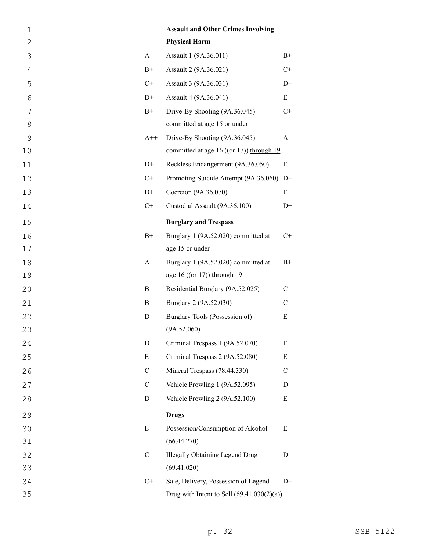| $\mathbf 1$   |               | <b>Assault and Other Crimes Involving</b>            |               |
|---------------|---------------|------------------------------------------------------|---------------|
| $\mathbf{2}$  |               | <b>Physical Harm</b>                                 |               |
| 3             | $\mathbf{A}$  | Assault 1 (9A.36.011)                                | $B+$          |
| 4             | $B+$          | Assault 2 (9A.36.021)                                | $C+$          |
| 5             | $C+$          | Assault 3 (9A.36.031)                                | $D+$          |
| 6             | $D+$          | Assault 4 (9A.36.041)                                | Ε             |
| 7             | $B+$          | Drive-By Shooting (9A.36.045)                        | $C+$          |
| 8             |               | committed at age 15 or under                         |               |
| $\mathcal{G}$ | $A++$         | Drive-By Shooting (9A.36.045)                        | A             |
| 10            |               | committed at age 16 ( $(\theta f + 17)$ ) through 19 |               |
| 11            | $D+$          | Reckless Endangerment (9A.36.050)                    | $\mathbf E$   |
| 12            | $C+$          | Promoting Suicide Attempt (9A.36.060) D+             |               |
| 13            | $D+$          | Coercion (9A.36.070)                                 | E             |
| 14            | $C+$          | Custodial Assault (9A.36.100)                        | $D+$          |
| 15            |               | <b>Burglary and Trespass</b>                         |               |
| 16            | $B+$          | Burglary 1 (9A.52.020) committed at                  | $C+$          |
| 17            |               | age 15 or under                                      |               |
| 18            | $A-$          | Burglary 1 (9A.52.020) committed at                  | $B+$          |
| 19            |               | age 16 $((er 17))$ through 19                        |               |
| 20            | B             | Residential Burglary (9A.52.025)                     | $\mathbf C$   |
| 21            | B             | Burglary 2 (9A.52.030)                               | $\mathbf C$   |
| 22            | D             | Burglary Tools (Possession of)                       | ${\bf E}$     |
| 23            |               | (9A.52.060)                                          |               |
| 24            | D             | Criminal Trespass 1 (9A.52.070)                      | E             |
| 25            | E             | Criminal Trespass 2 (9A.52.080)                      | E             |
| 26            | $\mathcal{C}$ | Mineral Trespass (78.44.330)                         | $\mathcal{C}$ |
| 27            | $\mathbf C$   | Vehicle Prowling 1 (9A.52.095)                       | D             |
| 28            | D             | Vehicle Prowling 2 (9A.52.100)                       | E             |
| 29            |               | <b>Drugs</b>                                         |               |
| 30            | E             | Possession/Consumption of Alcohol                    | E             |
| 31            |               | (66.44.270)                                          |               |
| 32            | $\mathbf C$   | <b>Illegally Obtaining Legend Drug</b>               | D             |
| 33            |               | (69.41.020)                                          |               |
| 34            | $C+$          | Sale, Delivery, Possession of Legend                 | $D+$          |
| 35            |               | Drug with Intent to Sell $(69.41.030(2)(a))$         |               |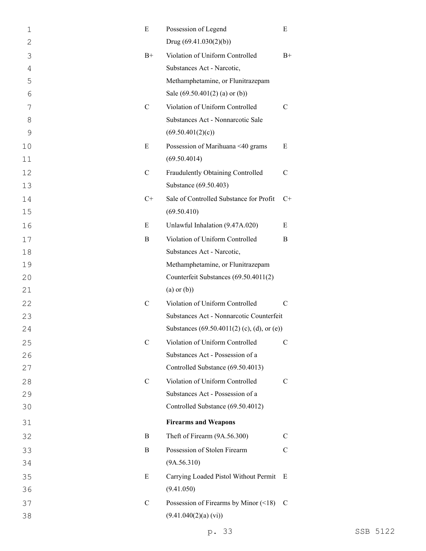| $\mathbf 1$    | Ε             | Possession of Legend                        | Ε             |
|----------------|---------------|---------------------------------------------|---------------|
| $\overline{2}$ |               | Drug $(69.41.030(2)(b))$                    |               |
| 3              | $B+$          | Violation of Uniform Controlled             | $B+$          |
| $\overline{4}$ |               | Substances Act - Narcotic,                  |               |
| 5              |               | Methamphetamine, or Flunitrazepam           |               |
| 6              |               | Sale $(69.50.401(2)$ (a) or (b))            |               |
| 7              | $\mathcal{C}$ | Violation of Uniform Controlled             | C             |
| 8              |               | Substances Act - Nonnarcotic Sale           |               |
| 9              |               | (69.50.401(2)(c))                           |               |
| 10             | E             | Possession of Marihuana <40 grams           | E             |
| 11             |               | (69.50.4014)                                |               |
| 12             | $\mathcal{C}$ | Fraudulently Obtaining Controlled           | $\mathcal{C}$ |
| 13             |               | Substance (69.50.403)                       |               |
| 14             | $C+$          | Sale of Controlled Substance for Profit     | C+            |
| 15             |               | (69.50.410)                                 |               |
| 16             | E             | Unlawful Inhalation (9.47A.020)             | E             |
| 17             | B             | Violation of Uniform Controlled             | B             |
| 18             |               | Substances Act - Narcotic,                  |               |
| 19             |               | Methamphetamine, or Flunitrazepam           |               |
| 20             |               | Counterfeit Substances (69.50.4011(2)       |               |
| 21             |               | $(a)$ or $(b)$ )                            |               |
| 22             | $\mathcal{C}$ | Violation of Uniform Controlled             | C             |
| 23             |               | Substances Act - Nonnarcotic Counterfeit    |               |
| 24             |               | Substances (69.50.4011(2) (c), (d), or (e)) |               |
| 25             | $\mathcal{C}$ | Violation of Uniform Controlled             | C             |
| 26             |               | Substances Act - Possession of a            |               |
| 27             |               | Controlled Substance (69.50.4013)           |               |
| 28             | $\mathcal{C}$ | Violation of Uniform Controlled             | $\mathcal{C}$ |
| 29             |               | Substances Act - Possession of a            |               |
| 30             |               | Controlled Substance (69.50.4012)           |               |
| 31             |               | <b>Firearms and Weapons</b>                 |               |
| 32             | B             | Theft of Firearm (9A.56.300)                | C             |
| 33             | B             | Possession of Stolen Firearm                | C             |
| 34             |               | (9A.56.310)                                 |               |
| 35             | E             | Carrying Loaded Pistol Without Permit       | E             |
| 36             |               | (9.41.050)                                  |               |
| 37             | $\mathbf C$   | Possession of Firearms by Minor $(\leq 18)$ | C             |
| 38             |               | (9.41.040(2)(a) (vi))                       |               |
|                |               |                                             |               |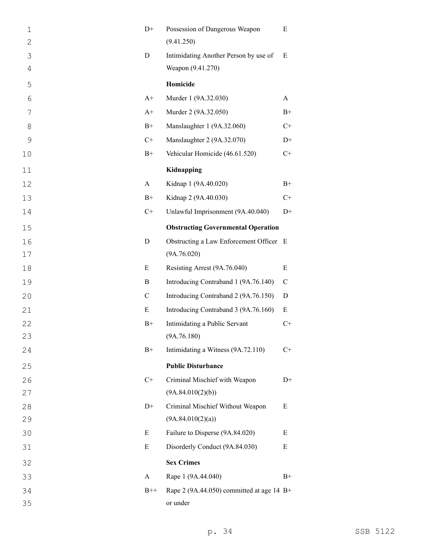| $\mathbf 1$   | $D+$         | Possession of Dangerous Weapon              | E           |
|---------------|--------------|---------------------------------------------|-------------|
| $\mathbf{2}$  |              | (9.41.250)                                  |             |
| 3             | D            | Intimidating Another Person by use of       | E           |
| 4             |              | Weapon (9.41.270)                           |             |
| 5             |              | Homicide                                    |             |
| 6             | $A+$         | Murder 1 (9A.32.030)                        | A           |
| 7             | $A+$         | Murder 2 (9A.32.050)                        | $B+$        |
| 8             | $B+$         | Manslaughter 1 (9A.32.060)                  | $C+$        |
| $\mathcal{G}$ | $C+$         | Manslaughter 2 (9A.32.070)                  | $D+$        |
| 10            | $B+$         | Vehicular Homicide (46.61.520)              | $C+$        |
| 11            |              | Kidnapping                                  |             |
| 12            | $\mathbf{A}$ | Kidnap 1 (9A.40.020)                        | $B+$        |
| 13            | $B+$         | Kidnap 2 (9A.40.030)                        | $C+$        |
| 14            | $C+$         | Unlawful Imprisonment (9A.40.040)           | $D+$        |
| 15            |              | <b>Obstructing Governmental Operation</b>   |             |
| 16            | $\mathbf D$  | Obstructing a Law Enforcement Officer E     |             |
| 17            |              | (9A.76.020)                                 |             |
| 18            | E            | Resisting Arrest (9A.76.040)                | E           |
| 19            | B            | Introducing Contraband 1 (9A.76.140)        | $\mathbf C$ |
| 20            | $\mathbf C$  | Introducing Contraband 2 (9A.76.150)        | $\mathbf D$ |
| 21            | E            | Introducing Contraband 3 (9A.76.160)        | $\mathbf E$ |
| 22            | $B+$         | Intimidating a Public Servant               | $C+$        |
| 23            |              | (9A.76.180)                                 |             |
| 24            | $B+$         | Intimidating a Witness (9A.72.110)          | $C+$        |
| 25            |              | <b>Public Disturbance</b>                   |             |
| 26            | $C+$         | Criminal Mischief with Weapon               | $D+$        |
| 27            |              | (9A.84.010(2)(b))                           |             |
| 28            | $D+$         | Criminal Mischief Without Weapon            | E           |
| 29            |              | (9A.84.010(2)(a))                           |             |
| 30            | E            | Failure to Disperse (9A.84.020)             | E           |
| 31            | E            | Disorderly Conduct (9A.84.030)              | Ε           |
| 32            |              | <b>Sex Crimes</b>                           |             |
| 33            | A            | Rape 1 (9A.44.040)                          | $B+$        |
| 34            | $B++$        | Rape 2 (9A.44.050) committed at age 14 $B+$ |             |
| 35            |              | or under                                    |             |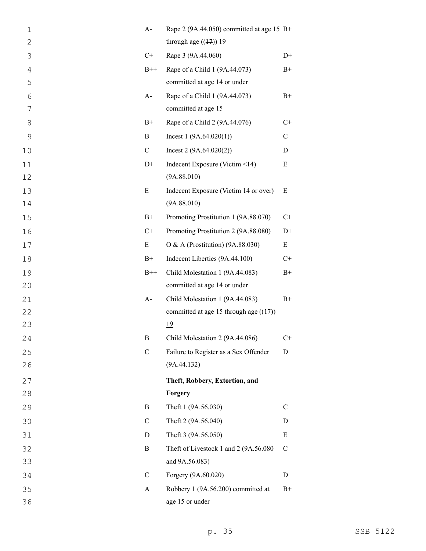| $\mathbf 1$  | $A-$          | Rape 2 (9A.44.050) committed at age 15 $B+$ |              |
|--------------|---------------|---------------------------------------------|--------------|
| $\mathbf{2}$ |               | through age $((17))$ 19                     |              |
| 3            | $C+$          | Rape 3 (9A.44.060)                          | $D+$         |
| $\sqrt{4}$   | $B++$         | Rape of a Child 1 (9A.44.073)               | $B+$         |
| 5            |               | committed at age 14 or under                |              |
| 6            | $A-$          | Rape of a Child 1 (9A.44.073)               | $B+$         |
| 7            |               | committed at age 15                         |              |
| 8            | $B+$          | Rape of a Child 2 (9A.44.076)               | $C+$         |
| 9            | B             | Incest $1(9A.64.020(1))$                    | $\mathsf{C}$ |
| 10           | $\mathbf C$   | Incest $2(9A.64.020(2))$                    | D            |
| 11           | $D+$          | Indecent Exposure (Victim <14)              | ${\bf E}$    |
| 12           |               | (9A.88.010)                                 |              |
| 13           | E             | Indecent Exposure (Victim 14 or over)       | E            |
| 14           |               | (9A.88.010)                                 |              |
| 15           | $B+$          | Promoting Prostitution 1 (9A.88.070)        | $C+$         |
| 16           | $C+$          | Promoting Prostitution 2 (9A.88.080)        | $D+$         |
| 17           | E             | O & A (Prostitution) (9A.88.030)            | E            |
| 18           | $B+$          | Indecent Liberties (9A.44.100)              | $C+$         |
| 19           | $B++$         | Child Molestation 1 (9A.44.083)             | $B+$         |
| 20           |               | committed at age 14 or under                |              |
| 21           | $A-$          | Child Molestation 1 (9A.44.083)             | $B+$         |
| 22           |               | committed at age 15 through age $((17))$    |              |
| 23           |               |                                             |              |
|              |               | 19                                          |              |
| 24           | В             | Child Molestation 2 (9A.44.086)             | $C+$         |
| 25           | $\mathcal{C}$ | Failure to Register as a Sex Offender       | D            |
| 26           |               | (9A.44.132)                                 |              |
| 27           |               | Theft, Robbery, Extortion, and              |              |
| 28           |               | Forgery                                     |              |
| 29           | B             | Theft 1 (9A.56.030)                         | $\mathsf{C}$ |
| 30           | $\mathbf C$   | Theft 2 (9A.56.040)                         | D            |
| 31           | D             | Theft 3 (9A.56.050)                         | Ε            |
| 32           | $\bf{B}$      | Theft of Livestock 1 and 2 (9A.56.080       | $\mathbf C$  |
| 33           |               | and 9A.56.083)                              |              |
| 34           | $\mathcal{C}$ | Forgery (9A.60.020)                         | D            |
| 35           | A             | Robbery 1 (9A.56.200) committed at          | $B+$         |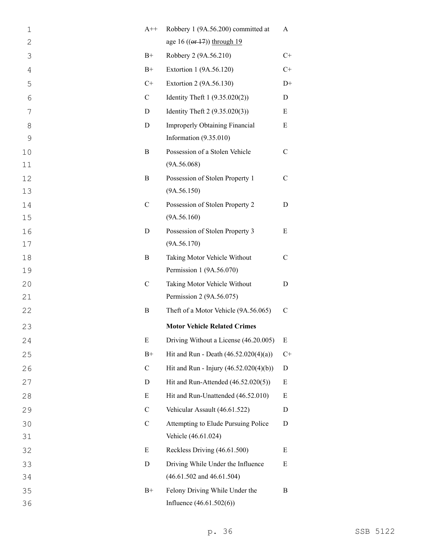| $\mathbf 1$    | $A++$         | Robbery 1 (9A.56.200) committed at      | A             |
|----------------|---------------|-----------------------------------------|---------------|
| $\overline{2}$ |               | age 16 $((or 17))$ through 19           |               |
| 3              | $B+$          | Robbery 2 (9A.56.210)                   | $C+$          |
| 4              | $B+$          | Extortion 1 (9A.56.120)                 | $C+$          |
| 5              | $C+$          | Extortion 2 (9A.56.130)                 | $D+$          |
| 6              | $\mathbf C$   | Identity Theft $1 (9.35.020(2))$        | D             |
| 7              | D             | Identity Theft $2(9.35.020(3))$         | Ε             |
| 8              | D             | <b>Improperly Obtaining Financial</b>   | Ε             |
| $\mathcal{G}$  |               | Information (9.35.010)                  |               |
| 10             | B             | Possession of a Stolen Vehicle          | $\mathbf C$   |
| 11             |               | (9A.56.068)                             |               |
| 12             | B             | Possession of Stolen Property 1         | $\mathcal{C}$ |
| 13             |               | (9A.56.150)                             |               |
| 14             | $\mathbf C$   | Possession of Stolen Property 2         | D             |
| 15             |               | (9A.56.160)                             |               |
| 16             | D             | Possession of Stolen Property 3         | E             |
| 17             |               | (9A.56.170)                             |               |
| 18             | $\, {\bf B}$  | Taking Motor Vehicle Without            | $\mathbf C$   |
| 19             |               | Permission 1 (9A.56.070)                |               |
| 20             | $\mathcal{C}$ | Taking Motor Vehicle Without            | D             |
| 21             |               | Permission 2 (9A.56.075)                |               |
| 22             | B             | Theft of a Motor Vehicle (9A.56.065)    | $\mathcal{C}$ |
| 23             |               | <b>Motor Vehicle Related Crimes</b>     |               |
| 24             | E             | Driving Without a License (46.20.005)   | E             |
| 25             | $B+$          | Hit and Run - Death $(46.52.020(4)(a))$ | $C+$          |
| 26             | $\mathcal{C}$ | Hit and Run - Injury (46.52.020(4)(b))  | D             |
| 27             | D             | Hit and Run-Attended (46.52.020(5))     | E             |
| 28             | E             | Hit and Run-Unattended (46.52.010)      | Ε             |
| 29             | $\mathcal{C}$ | Vehicular Assault (46.61.522)           | D             |
| 30             | $\mathcal{C}$ | Attempting to Elude Pursuing Police     | D             |
| 31             |               | Vehicle (46.61.024)                     |               |
| 32             | E             | Reckless Driving (46.61.500)            | E             |
| 33             | $\mathbf D$   | Driving While Under the Influence       | E             |
| 34             |               | $(46.61.502$ and $46.61.504)$           |               |
| 35             | $B+$          | Felony Driving While Under the          | B             |
| 36             |               | Influence $(46.61.502(6))$              |               |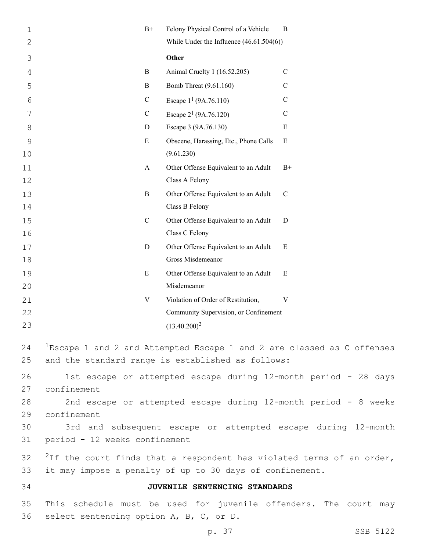| 1        | $B+$                                    | Felony Physical Control of a Vehicle                      | B                                                                              |
|----------|-----------------------------------------|-----------------------------------------------------------|--------------------------------------------------------------------------------|
| 2        |                                         | While Under the Influence $(46.61.504(6))$                |                                                                                |
| 3        |                                         | Other                                                     |                                                                                |
| 4        | B                                       | Animal Cruelty 1 (16.52.205)                              | $\mathcal{C}$                                                                  |
| 5        | B                                       | Bomb Threat (9.61.160)                                    | $\mathcal{C}$                                                                  |
| 6        | $\mathbf C$                             | Escape $1^1$ (9A.76.110)                                  | $\mathbf C$                                                                    |
| 7        | $\mathbf C$                             | Escape $2^1$ (9A.76.120)                                  | $\mathcal{C}$                                                                  |
| 8        | D                                       | Escape 3 (9A.76.130)                                      | Ε                                                                              |
| 9<br>10  | E                                       | Obscene, Harassing, Etc., Phone Calls<br>(9.61.230)       | $\mathbf E$                                                                    |
| 11<br>12 | A                                       | Other Offense Equivalent to an Adult<br>Class A Felony    | $B+$                                                                           |
| 13<br>14 | $\bf{B}$                                | Other Offense Equivalent to an Adult<br>Class B Felony    | $\mathbf C$                                                                    |
| 15<br>16 | $\mathcal{C}$                           | Other Offense Equivalent to an Adult<br>Class C Felony    | D                                                                              |
| 17       | D                                       | Other Offense Equivalent to an Adult<br>Gross Misdemeanor | ${\bf E}$                                                                      |
| 18<br>19 | E                                       | Other Offense Equivalent to an Adult                      | E                                                                              |
| 20       |                                         | Misdemeanor                                               |                                                                                |
| 21       | V                                       | Violation of Order of Restitution,                        | V                                                                              |
| 22       |                                         | Community Supervision, or Confinement                     |                                                                                |
| 23       |                                         | $(13.40.200)^2$                                           |                                                                                |
| 24<br>25 |                                         | and the standard range is established as follows:         | ${}^{1}$ Escape 1 and 2 and Attempted Escape 1 and 2 are classed as C offenses |
| 26<br>27 | confinement                             |                                                           | 1st escape or attempted escape during 12-month period - 28 days                |
| 28       |                                         |                                                           | 2nd escape or attempted escape during 12-month period - 8 weeks                |
| 29       | confinement                             |                                                           |                                                                                |
| 30       |                                         |                                                           | 3rd and subsequent escape or attempted escape during 12-month                  |
| 31       | period - 12 weeks confinement           |                                                           |                                                                                |
| 32<br>33 |                                         | it may impose a penalty of up to 30 days of confinement.  | $^{2}$ If the court finds that a respondent has violated terms of an order,    |
| 34       |                                         | JUVENILE SENTENCING STANDARDS                             |                                                                                |
| 35<br>36 | select sentencing option A, B, C, or D. |                                                           | This schedule must be used for juvenile offenders. The court may               |
|          |                                         | p. 37                                                     | SSB 5122                                                                       |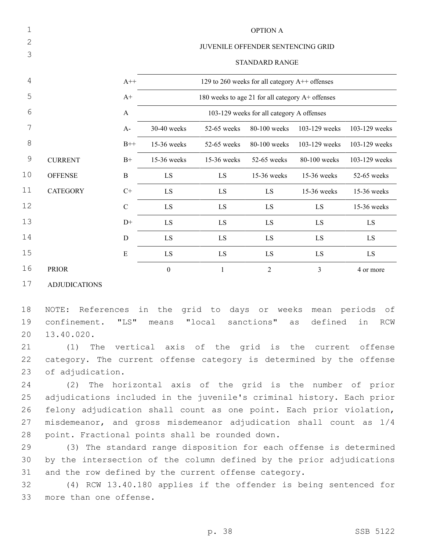| 1             |                 | <b>OPTION A</b> |                                                  |             |                |               |               |  |
|---------------|-----------------|-----------------|--------------------------------------------------|-------------|----------------|---------------|---------------|--|
| 2             |                 |                 | JUVENILE OFFENDER SENTENCING GRID                |             |                |               |               |  |
| 3             |                 |                 | <b>STANDARD RANGE</b>                            |             |                |               |               |  |
| 4             |                 | $A++$           | 129 to 260 weeks for all category A++ offenses   |             |                |               |               |  |
| 5             |                 | $A+$            | 180 weeks to age 21 for all category A+ offenses |             |                |               |               |  |
| 6             |                 | $\mathbf{A}$    | 103-129 weeks for all category A offenses        |             |                |               |               |  |
| 7             |                 | $A-$            | 30-40 weeks                                      | 52-65 weeks | 80-100 weeks   | 103-129 weeks | 103-129 weeks |  |
| 8             |                 | $B++$           | 15-36 weeks                                      | 52-65 weeks | 80-100 weeks   | 103-129 weeks | 103-129 weeks |  |
| $\mathcal{G}$ | <b>CURRENT</b>  | $B+$            | 15-36 weeks                                      | 15-36 weeks | 52-65 weeks    | 80-100 weeks  | 103-129 weeks |  |
| 10            | <b>OFFENSE</b>  | B               | LS                                               | LS          | 15-36 weeks    | 15-36 weeks   | 52-65 weeks   |  |
| 11            | <b>CATEGORY</b> | $C+$            | LS                                               | LS          | LS             | 15-36 weeks   | 15-36 weeks   |  |
| 12            |                 | $\mathbf C$     | LS                                               | LS          | LS             | LS            | 15-36 weeks   |  |
| 13            |                 | $D+$            | LS                                               | LS          | LS             | LS            | LS            |  |
| 14            |                 | $\mathbf D$     | LS                                               | LS          | LS             | LS            | LS            |  |
| 15            |                 | E               | LS                                               | LS          | LS             | LS            | LS            |  |
| 16            | <b>PRIOR</b>    |                 | $\boldsymbol{0}$                                 | 1           | $\overline{2}$ | 3             | 4 or more     |  |

ADJUDICATIONS

 NOTE: References in the grid to days or weeks mean periods of confinement. "LS" means "local sanctions" as defined in RCW 20 13.40.020.

 (1) The vertical axis of the grid is the current offense category. The current offense category is determined by the offense 23 of adjudication.

 (2) The horizontal axis of the grid is the number of prior adjudications included in the juvenile's criminal history. Each prior felony adjudication shall count as one point. Each prior violation, misdemeanor, and gross misdemeanor adjudication shall count as 1/4 28 point. Fractional points shall be rounded down.

 (3) The standard range disposition for each offense is determined by the intersection of the column defined by the prior adjudications and the row defined by the current offense category.

 (4) RCW 13.40.180 applies if the offender is being sentenced for 33 more than one offense.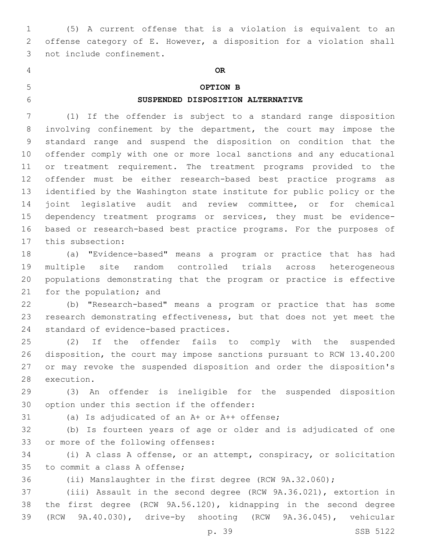(5) A current offense that is a violation is equivalent to an offense category of E. However, a disposition for a violation shall 3 not include confinement.

# **OR**

## **OPTION B**

### **SUSPENDED DISPOSITION ALTERNATIVE**

 (1) If the offender is subject to a standard range disposition involving confinement by the department, the court may impose the standard range and suspend the disposition on condition that the offender comply with one or more local sanctions and any educational or treatment requirement. The treatment programs provided to the offender must be either research-based best practice programs as identified by the Washington state institute for public policy or the joint legislative audit and review committee, or for chemical dependency treatment programs or services, they must be evidence- based or research-based best practice programs. For the purposes of 17 this subsection:

 (a) "Evidence-based" means a program or practice that has had multiple site random controlled trials across heterogeneous populations demonstrating that the program or practice is effective 21 for the population; and

 (b) "Research-based" means a program or practice that has some research demonstrating effectiveness, but that does not yet meet the 24 standard of evidence-based practices.

 (2) If the offender fails to comply with the suspended disposition, the court may impose sanctions pursuant to RCW 13.40.200 or may revoke the suspended disposition and order the disposition's 28 execution.

 (3) An offender is ineligible for the suspended disposition 30 option under this section if the offender:

(a) Is adjudicated of an A+ or A++ offense;

 (b) Is fourteen years of age or older and is adjudicated of one 33 or more of the following offenses:

 (i) A class A offense, or an attempt, conspiracy, or solicitation 35 to commit a class A offense;

(ii) Manslaughter in the first degree (RCW 9A.32.060);

 (iii) Assault in the second degree (RCW 9A.36.021), extortion in the first degree (RCW 9A.56.120), kidnapping in the second degree (RCW 9A.40.030), drive-by shooting (RCW 9A.36.045), vehicular

p. 39 SSB 5122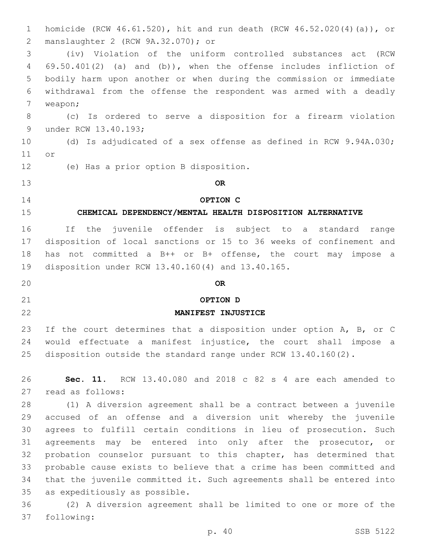homicide (RCW 46.61.520), hit and run death (RCW 46.52.020(4)(a)), or manslaughter 2 (RCW 9A.32.070); or2 (iv) Violation of the uniform controlled substances act (RCW 69.50.401(2) (a) and (b)), when the offense includes infliction of bodily harm upon another or when during the commission or immediate withdrawal from the offense the respondent was armed with a deadly 7 weapon; (c) Is ordered to serve a disposition for a firearm violation 9 under RCW 13.40.193; (d) Is adjudicated of a sex offense as defined in RCW 9.94A.030; 11 or 12 (e) Has a prior option B disposition. **OR OPTION C CHEMICAL DEPENDENCY/MENTAL HEALTH DISPOSITION ALTERNATIVE** If the juvenile offender is subject to a standard range disposition of local sanctions or 15 to 36 weeks of confinement and has not committed a B++ or B+ offense, the court may impose a 19 disposition under RCW 13.40.160(4) and 13.40.165. **OR OPTION D MANIFEST INJUSTICE** 23 If the court determines that a disposition under option A, B, or C would effectuate a manifest injustice, the court shall impose a disposition outside the standard range under RCW 13.40.160(2). **Sec. 11.** RCW 13.40.080 and 2018 c 82 s 4 are each amended to 27 read as follows: (1) A diversion agreement shall be a contract between a juvenile accused of an offense and a diversion unit whereby the juvenile agrees to fulfill certain conditions in lieu of prosecution. Such agreements may be entered into only after the prosecutor, or probation counselor pursuant to this chapter, has determined that probable cause exists to believe that a crime has been committed and that the juvenile committed it. Such agreements shall be entered into 35 as expeditiously as possible. (2) A diversion agreement shall be limited to one or more of the

37 following: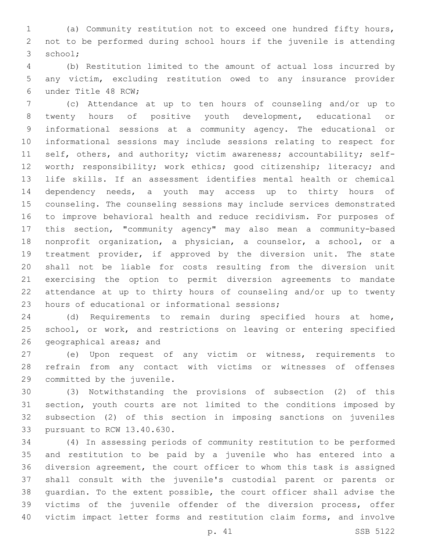(a) Community restitution not to exceed one hundred fifty hours, not to be performed during school hours if the juvenile is attending 3 school;

 (b) Restitution limited to the amount of actual loss incurred by any victim, excluding restitution owed to any insurance provider 6 under Title 48 RCW;

 (c) Attendance at up to ten hours of counseling and/or up to twenty hours of positive youth development, educational or informational sessions at a community agency. The educational or informational sessions may include sessions relating to respect for 11 self, others, and authority; victim awareness; accountability; self-12 worth; responsibility; work ethics; good citizenship; literacy; and life skills. If an assessment identifies mental health or chemical dependency needs, a youth may access up to thirty hours of counseling. The counseling sessions may include services demonstrated to improve behavioral health and reduce recidivism. For purposes of this section, "community agency" may also mean a community-based nonprofit organization, a physician, a counselor, a school, or a treatment provider, if approved by the diversion unit. The state shall not be liable for costs resulting from the diversion unit exercising the option to permit diversion agreements to mandate attendance at up to thirty hours of counseling and/or up to twenty 23 hours of educational or informational sessions;

 (d) Requirements to remain during specified hours at home, 25 school, or work, and restrictions on leaving or entering specified 26 geographical areas; and

 (e) Upon request of any victim or witness, requirements to refrain from any contact with victims or witnesses of offenses 29 committed by the juvenile.

 (3) Notwithstanding the provisions of subsection (2) of this section, youth courts are not limited to the conditions imposed by subsection (2) of this section in imposing sanctions on juveniles 33 pursuant to RCW 13.40.630.

 (4) In assessing periods of community restitution to be performed and restitution to be paid by a juvenile who has entered into a diversion agreement, the court officer to whom this task is assigned shall consult with the juvenile's custodial parent or parents or guardian. To the extent possible, the court officer shall advise the victims of the juvenile offender of the diversion process, offer victim impact letter forms and restitution claim forms, and involve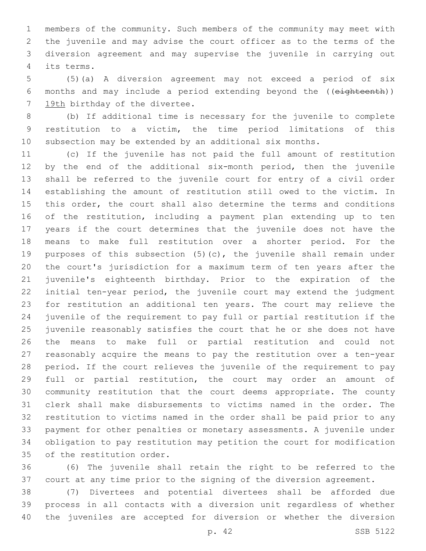members of the community. Such members of the community may meet with the juvenile and may advise the court officer as to the terms of the diversion agreement and may supervise the juvenile in carrying out its terms.4

 (5)(a) A diversion agreement may not exceed a period of six months and may include a period extending beyond the ((eighteenth)) 7 19th birthday of the divertee.

 (b) If additional time is necessary for the juvenile to complete restitution to a victim, the time period limitations of this subsection may be extended by an additional six months.

 (c) If the juvenile has not paid the full amount of restitution 12 by the end of the additional six-month period, then the juvenile shall be referred to the juvenile court for entry of a civil order establishing the amount of restitution still owed to the victim. In this order, the court shall also determine the terms and conditions of the restitution, including a payment plan extending up to ten years if the court determines that the juvenile does not have the means to make full restitution over a shorter period. For the purposes of this subsection (5)(c), the juvenile shall remain under the court's jurisdiction for a maximum term of ten years after the juvenile's eighteenth birthday. Prior to the expiration of the initial ten-year period, the juvenile court may extend the judgment for restitution an additional ten years. The court may relieve the juvenile of the requirement to pay full or partial restitution if the juvenile reasonably satisfies the court that he or she does not have the means to make full or partial restitution and could not reasonably acquire the means to pay the restitution over a ten-year period. If the court relieves the juvenile of the requirement to pay full or partial restitution, the court may order an amount of community restitution that the court deems appropriate. The county clerk shall make disbursements to victims named in the order. The restitution to victims named in the order shall be paid prior to any payment for other penalties or monetary assessments. A juvenile under obligation to pay restitution may petition the court for modification 35 of the restitution order.

 (6) The juvenile shall retain the right to be referred to the court at any time prior to the signing of the diversion agreement.

 (7) Divertees and potential divertees shall be afforded due process in all contacts with a diversion unit regardless of whether the juveniles are accepted for diversion or whether the diversion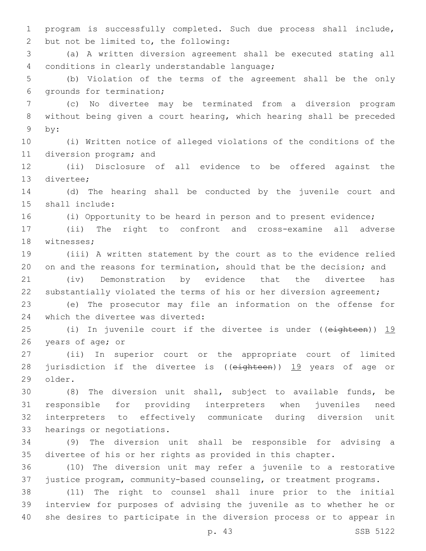program is successfully completed. Such due process shall include, 2 but not be limited to, the following:

 (a) A written diversion agreement shall be executed stating all 4 conditions in clearly understandable language;

 (b) Violation of the terms of the agreement shall be the only 6 grounds for termination;

 (c) No divertee may be terminated from a diversion program without being given a court hearing, which hearing shall be preceded 9 by:

 (i) Written notice of alleged violations of the conditions of the 11 diversion program; and

 (ii) Disclosure of all evidence to be offered against the 13 divertee;

 (d) The hearing shall be conducted by the juvenile court and 15 shall include:

(i) Opportunity to be heard in person and to present evidence;

 (ii) The right to confront and cross-examine all adverse 18 witnesses;

 (iii) A written statement by the court as to the evidence relied on and the reasons for termination, should that be the decision; and

 (iv) Demonstration by evidence that the divertee has substantially violated the terms of his or her diversion agreement;

 (e) The prosecutor may file an information on the offense for 24 which the divertee was diverted:

25 (i) In juvenile court if the divertee is under ((eighteen)) 19 26 years of age; or

 (ii) In superior court or the appropriate court of limited 28 jurisdiction if the divertee is ((eighteen)) 19 years of age or 29 older.

 (8) The diversion unit shall, subject to available funds, be responsible for providing interpreters when juveniles need interpreters to effectively communicate during diversion unit 33 hearings or negotiations.

 (9) The diversion unit shall be responsible for advising a divertee of his or her rights as provided in this chapter.

 (10) The diversion unit may refer a juvenile to a restorative justice program, community-based counseling, or treatment programs.

 (11) The right to counsel shall inure prior to the initial interview for purposes of advising the juvenile as to whether he or she desires to participate in the diversion process or to appear in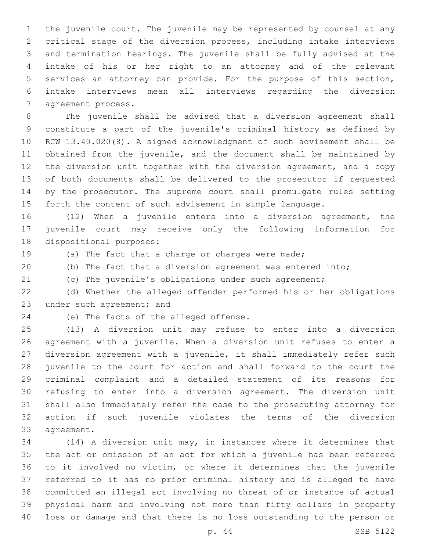the juvenile court. The juvenile may be represented by counsel at any critical stage of the diversion process, including intake interviews and termination hearings. The juvenile shall be fully advised at the intake of his or her right to an attorney and of the relevant services an attorney can provide. For the purpose of this section, intake interviews mean all interviews regarding the diversion 7 agreement process.

 The juvenile shall be advised that a diversion agreement shall constitute a part of the juvenile's criminal history as defined by RCW 13.40.020(8). A signed acknowledgment of such advisement shall be obtained from the juvenile, and the document shall be maintained by the diversion unit together with the diversion agreement, and a copy of both documents shall be delivered to the prosecutor if requested by the prosecutor. The supreme court shall promulgate rules setting forth the content of such advisement in simple language.

 (12) When a juvenile enters into a diversion agreement, the juvenile court may receive only the following information for 18 dispositional purposes:

(a) The fact that a charge or charges were made;

(b) The fact that a diversion agreement was entered into;

(c) The juvenile's obligations under such agreement;

 (d) Whether the alleged offender performed his or her obligations 23 under such agreement; and

24 (e) The facts of the alleged offense.

 (13) A diversion unit may refuse to enter into a diversion agreement with a juvenile. When a diversion unit refuses to enter a diversion agreement with a juvenile, it shall immediately refer such juvenile to the court for action and shall forward to the court the criminal complaint and a detailed statement of its reasons for refusing to enter into a diversion agreement. The diversion unit shall also immediately refer the case to the prosecuting attorney for action if such juvenile violates the terms of the diversion 33 agreement.

 (14) A diversion unit may, in instances where it determines that the act or omission of an act for which a juvenile has been referred to it involved no victim, or where it determines that the juvenile referred to it has no prior criminal history and is alleged to have committed an illegal act involving no threat of or instance of actual physical harm and involving not more than fifty dollars in property loss or damage and that there is no loss outstanding to the person or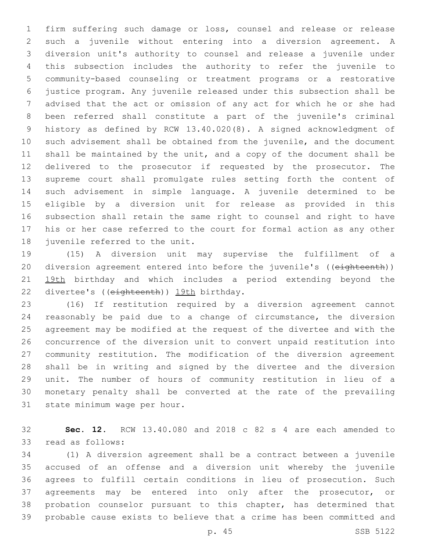firm suffering such damage or loss, counsel and release or release such a juvenile without entering into a diversion agreement. A diversion unit's authority to counsel and release a juvenile under this subsection includes the authority to refer the juvenile to community-based counseling or treatment programs or a restorative justice program. Any juvenile released under this subsection shall be advised that the act or omission of any act for which he or she had been referred shall constitute a part of the juvenile's criminal history as defined by RCW 13.40.020(8). A signed acknowledgment of such advisement shall be obtained from the juvenile, and the document shall be maintained by the unit, and a copy of the document shall be delivered to the prosecutor if requested by the prosecutor. The supreme court shall promulgate rules setting forth the content of such advisement in simple language. A juvenile determined to be eligible by a diversion unit for release as provided in this subsection shall retain the same right to counsel and right to have his or her case referred to the court for formal action as any other 18 juvenile referred to the unit.

 (15) A diversion unit may supervise the fulfillment of a 20 diversion agreement entered into before the juvenile's ((eighteenth)) 19th birthday and which includes a period extending beyond the 22 divertee's ((eighteenth)) 19th birthday.

 (16) If restitution required by a diversion agreement cannot reasonably be paid due to a change of circumstance, the diversion agreement may be modified at the request of the divertee and with the concurrence of the diversion unit to convert unpaid restitution into community restitution. The modification of the diversion agreement shall be in writing and signed by the divertee and the diversion unit. The number of hours of community restitution in lieu of a monetary penalty shall be converted at the rate of the prevailing 31 state minimum wage per hour.

 **Sec. 12.** RCW 13.40.080 and 2018 c 82 s 4 are each amended to 33 read as follows:

 (1) A diversion agreement shall be a contract between a juvenile accused of an offense and a diversion unit whereby the juvenile agrees to fulfill certain conditions in lieu of prosecution. Such 37 agreements may be entered into only after the prosecutor, or probation counselor pursuant to this chapter, has determined that probable cause exists to believe that a crime has been committed and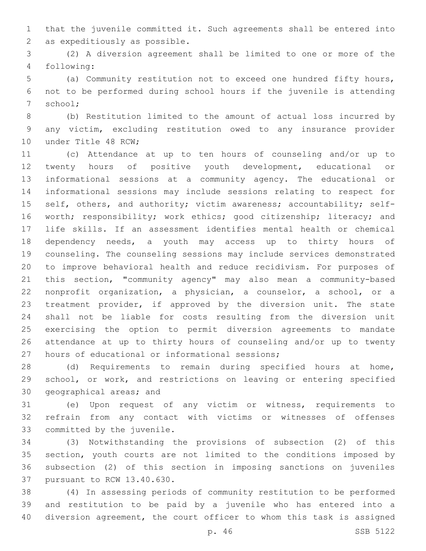that the juvenile committed it. Such agreements shall be entered into 2 as expeditiously as possible.

 (2) A diversion agreement shall be limited to one or more of the following:4

 (a) Community restitution not to exceed one hundred fifty hours, not to be performed during school hours if the juvenile is attending 7 school;

 (b) Restitution limited to the amount of actual loss incurred by any victim, excluding restitution owed to any insurance provider 10 under Title 48 RCW;

 (c) Attendance at up to ten hours of counseling and/or up to twenty hours of positive youth development, educational or informational sessions at a community agency. The educational or informational sessions may include sessions relating to respect for 15 self, others, and authority; victim awareness; accountability; self- worth; responsibility; work ethics; good citizenship; literacy; and life skills. If an assessment identifies mental health or chemical dependency needs, a youth may access up to thirty hours of counseling. The counseling sessions may include services demonstrated to improve behavioral health and reduce recidivism. For purposes of this section, "community agency" may also mean a community-based nonprofit organization, a physician, a counselor, a school, or a treatment provider, if approved by the diversion unit. The state shall not be liable for costs resulting from the diversion unit exercising the option to permit diversion agreements to mandate attendance at up to thirty hours of counseling and/or up to twenty 27 hours of educational or informational sessions;

 (d) Requirements to remain during specified hours at home, school, or work, and restrictions on leaving or entering specified 30 geographical areas; and

 (e) Upon request of any victim or witness, requirements to refrain from any contact with victims or witnesses of offenses 33 committed by the juvenile.

 (3) Notwithstanding the provisions of subsection (2) of this section, youth courts are not limited to the conditions imposed by subsection (2) of this section in imposing sanctions on juveniles 37 pursuant to RCW 13.40.630.

 (4) In assessing periods of community restitution to be performed and restitution to be paid by a juvenile who has entered into a diversion agreement, the court officer to whom this task is assigned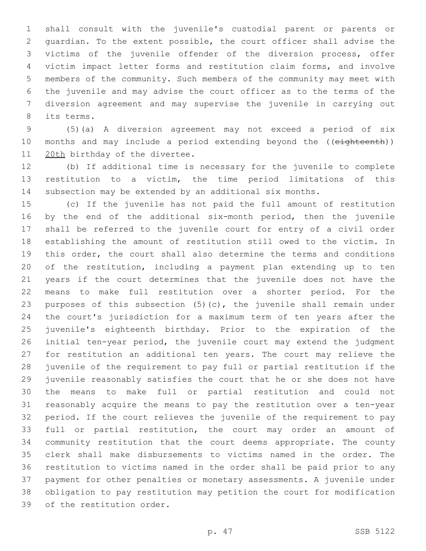shall consult with the juvenile's custodial parent or parents or guardian. To the extent possible, the court officer shall advise the victims of the juvenile offender of the diversion process, offer victim impact letter forms and restitution claim forms, and involve members of the community. Such members of the community may meet with the juvenile and may advise the court officer as to the terms of the diversion agreement and may supervise the juvenile in carrying out 8 its terms.

 (5)(a) A diversion agreement may not exceed a period of six 10 months and may include a period extending beyond the ((eighteenth)) 11 20th birthday of the divertee.

 (b) If additional time is necessary for the juvenile to complete restitution to a victim, the time period limitations of this subsection may be extended by an additional six months.

 (c) If the juvenile has not paid the full amount of restitution 16 by the end of the additional six-month period, then the juvenile shall be referred to the juvenile court for entry of a civil order establishing the amount of restitution still owed to the victim. In this order, the court shall also determine the terms and conditions of the restitution, including a payment plan extending up to ten years if the court determines that the juvenile does not have the means to make full restitution over a shorter period. For the purposes of this subsection (5)(c), the juvenile shall remain under the court's jurisdiction for a maximum term of ten years after the juvenile's eighteenth birthday. Prior to the expiration of the initial ten-year period, the juvenile court may extend the judgment for restitution an additional ten years. The court may relieve the juvenile of the requirement to pay full or partial restitution if the juvenile reasonably satisfies the court that he or she does not have the means to make full or partial restitution and could not reasonably acquire the means to pay the restitution over a ten-year period. If the court relieves the juvenile of the requirement to pay full or partial restitution, the court may order an amount of community restitution that the court deems appropriate. The county clerk shall make disbursements to victims named in the order. The restitution to victims named in the order shall be paid prior to any payment for other penalties or monetary assessments. A juvenile under obligation to pay restitution may petition the court for modification 39 of the restitution order.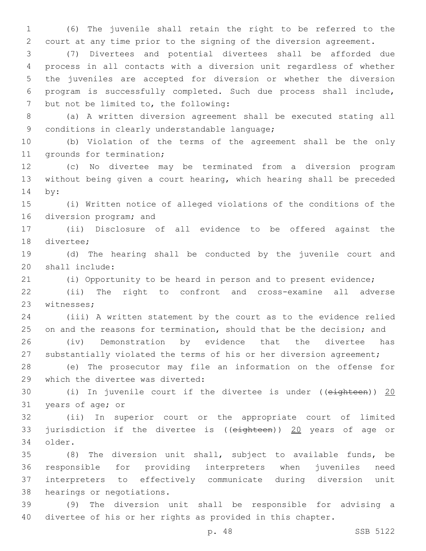(6) The juvenile shall retain the right to be referred to the court at any time prior to the signing of the diversion agreement.

 (7) Divertees and potential divertees shall be afforded due process in all contacts with a diversion unit regardless of whether the juveniles are accepted for diversion or whether the diversion program is successfully completed. Such due process shall include, 7 but not be limited to, the following:

 (a) A written diversion agreement shall be executed stating all 9 conditions in clearly understandable language;

 (b) Violation of the terms of the agreement shall be the only 11 grounds for termination;

 (c) No divertee may be terminated from a diversion program without being given a court hearing, which hearing shall be preceded 14 by:

 (i) Written notice of alleged violations of the conditions of the 16 diversion program; and

 (ii) Disclosure of all evidence to be offered against the 18 divertee;

 (d) The hearing shall be conducted by the juvenile court and 20 shall include:

(i) Opportunity to be heard in person and to present evidence;

 (ii) The right to confront and cross-examine all adverse 23 witnesses;

 (iii) A written statement by the court as to the evidence relied 25 on and the reasons for termination, should that be the decision; and (iv) Demonstration by evidence that the divertee has

27 substantially violated the terms of his or her diversion agreement;

 (e) The prosecutor may file an information on the offense for 29 which the divertee was diverted:

30 (i) In juvenile court if the divertee is under ((eighteen)) 20 31 years of age; or

 (ii) In superior court or the appropriate court of limited jurisdiction if the divertee is ((eighteen)) 20 years of age or 34 older.

 (8) The diversion unit shall, subject to available funds, be responsible for providing interpreters when juveniles need interpreters to effectively communicate during diversion unit 38 hearings or negotiations.

 (9) The diversion unit shall be responsible for advising a divertee of his or her rights as provided in this chapter.

p. 48 SSB 5122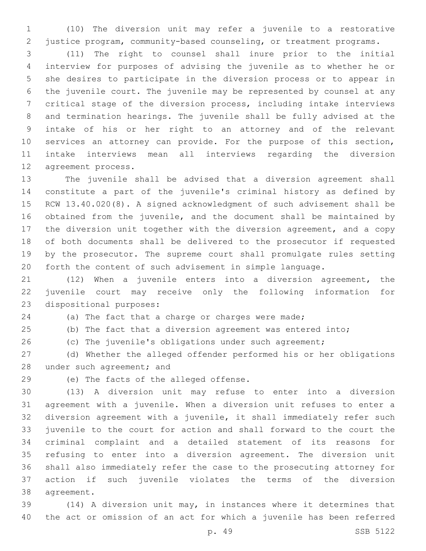(10) The diversion unit may refer a juvenile to a restorative justice program, community-based counseling, or treatment programs.

 (11) The right to counsel shall inure prior to the initial interview for purposes of advising the juvenile as to whether he or she desires to participate in the diversion process or to appear in the juvenile court. The juvenile may be represented by counsel at any critical stage of the diversion process, including intake interviews and termination hearings. The juvenile shall be fully advised at the intake of his or her right to an attorney and of the relevant services an attorney can provide. For the purpose of this section, intake interviews mean all interviews regarding the diversion 12 agreement process.

 The juvenile shall be advised that a diversion agreement shall constitute a part of the juvenile's criminal history as defined by RCW 13.40.020(8). A signed acknowledgment of such advisement shall be obtained from the juvenile, and the document shall be maintained by the diversion unit together with the diversion agreement, and a copy of both documents shall be delivered to the prosecutor if requested by the prosecutor. The supreme court shall promulgate rules setting forth the content of such advisement in simple language.

 (12) When a juvenile enters into a diversion agreement, the juvenile court may receive only the following information for 23 dispositional purposes:

 (a) The fact that a charge or charges were made; (b) The fact that a diversion agreement was entered into;

(c) The juvenile's obligations under such agreement;

 (d) Whether the alleged offender performed his or her obligations 28 under such agreement; and

29 (e) The facts of the alleged offense.

 (13) A diversion unit may refuse to enter into a diversion agreement with a juvenile. When a diversion unit refuses to enter a diversion agreement with a juvenile, it shall immediately refer such juvenile to the court for action and shall forward to the court the criminal complaint and a detailed statement of its reasons for refusing to enter into a diversion agreement. The diversion unit shall also immediately refer the case to the prosecuting attorney for action if such juvenile violates the terms of the diversion 38 agreement.

 (14) A diversion unit may, in instances where it determines that the act or omission of an act for which a juvenile has been referred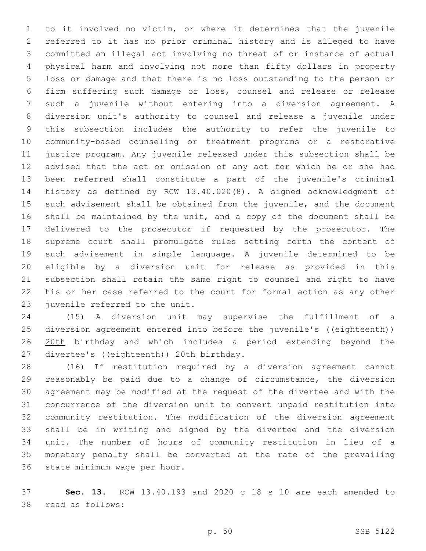to it involved no victim, or where it determines that the juvenile referred to it has no prior criminal history and is alleged to have committed an illegal act involving no threat of or instance of actual physical harm and involving not more than fifty dollars in property loss or damage and that there is no loss outstanding to the person or firm suffering such damage or loss, counsel and release or release such a juvenile without entering into a diversion agreement. A diversion unit's authority to counsel and release a juvenile under this subsection includes the authority to refer the juvenile to community-based counseling or treatment programs or a restorative justice program. Any juvenile released under this subsection shall be advised that the act or omission of any act for which he or she had been referred shall constitute a part of the juvenile's criminal history as defined by RCW 13.40.020(8). A signed acknowledgment of such advisement shall be obtained from the juvenile, and the document shall be maintained by the unit, and a copy of the document shall be delivered to the prosecutor if requested by the prosecutor. The supreme court shall promulgate rules setting forth the content of such advisement in simple language. A juvenile determined to be eligible by a diversion unit for release as provided in this subsection shall retain the same right to counsel and right to have his or her case referred to the court for formal action as any other 23 juvenile referred to the unit.

 (15) A diversion unit may supervise the fulfillment of a 25 diversion agreement entered into before the juvenile's ((eighteenth)) 26 20th birthday and which includes a period extending beyond the 27 divertee's ((eighteenth)) 20th birthday.

 (16) If restitution required by a diversion agreement cannot reasonably be paid due to a change of circumstance, the diversion agreement may be modified at the request of the divertee and with the concurrence of the diversion unit to convert unpaid restitution into community restitution. The modification of the diversion agreement shall be in writing and signed by the divertee and the diversion unit. The number of hours of community restitution in lieu of a monetary penalty shall be converted at the rate of the prevailing 36 state minimum wage per hour.

 **Sec. 13.** RCW 13.40.193 and 2020 c 18 s 10 are each amended to 38 read as follows: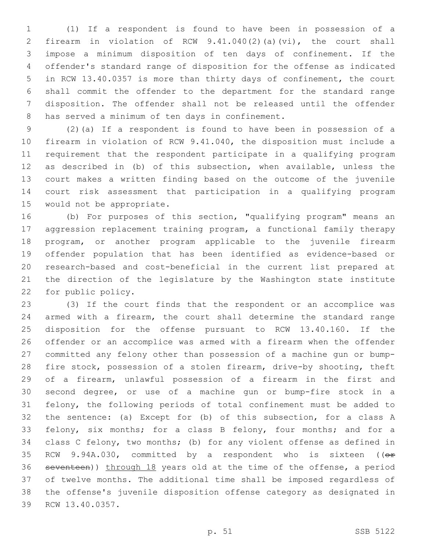(1) If a respondent is found to have been in possession of a firearm in violation of RCW 9.41.040(2)(a)(vi), the court shall impose a minimum disposition of ten days of confinement. If the offender's standard range of disposition for the offense as indicated in RCW 13.40.0357 is more than thirty days of confinement, the court shall commit the offender to the department for the standard range disposition. The offender shall not be released until the offender 8 has served a minimum of ten days in confinement.

 (2)(a) If a respondent is found to have been in possession of a firearm in violation of RCW 9.41.040, the disposition must include a requirement that the respondent participate in a qualifying program as described in (b) of this subsection, when available, unless the court makes a written finding based on the outcome of the juvenile court risk assessment that participation in a qualifying program 15 would not be appropriate.

 (b) For purposes of this section, "qualifying program" means an aggression replacement training program, a functional family therapy program, or another program applicable to the juvenile firearm offender population that has been identified as evidence-based or research-based and cost-beneficial in the current list prepared at the direction of the legislature by the Washington state institute 22 for public policy.

 (3) If the court finds that the respondent or an accomplice was armed with a firearm, the court shall determine the standard range disposition for the offense pursuant to RCW 13.40.160. If the offender or an accomplice was armed with a firearm when the offender committed any felony other than possession of a machine gun or bump- fire stock, possession of a stolen firearm, drive-by shooting, theft of a firearm, unlawful possession of a firearm in the first and second degree, or use of a machine gun or bump-fire stock in a felony, the following periods of total confinement must be added to the sentence: (a) Except for (b) of this subsection, for a class A felony, six months; for a class B felony, four months; and for a class C felony, two months; (b) for any violent offense as defined in 35 RCW 9.94A.030, committed by a respondent who is sixteen ((or seventeen)) through 18 years old at the time of the offense, a period of twelve months. The additional time shall be imposed regardless of the offense's juvenile disposition offense category as designated in 39 RCW 13.40.0357.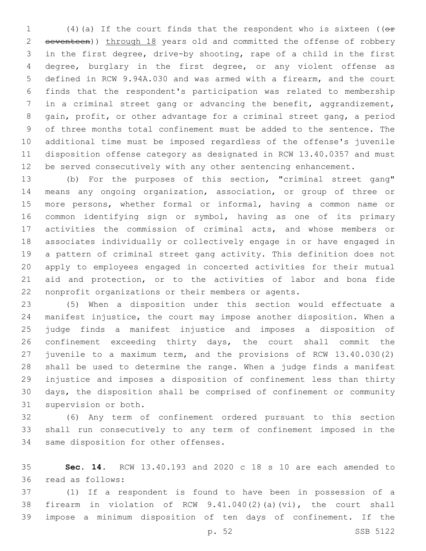(4)(a) If the court finds that the respondent who is sixteen ((or seventeen)) through 18 years old and committed the offense of robbery in the first degree, drive-by shooting, rape of a child in the first degree, burglary in the first degree, or any violent offense as defined in RCW 9.94A.030 and was armed with a firearm, and the court finds that the respondent's participation was related to membership in a criminal street gang or advancing the benefit, aggrandizement, gain, profit, or other advantage for a criminal street gang, a period of three months total confinement must be added to the sentence. The additional time must be imposed regardless of the offense's juvenile disposition offense category as designated in RCW 13.40.0357 and must be served consecutively with any other sentencing enhancement.

 (b) For the purposes of this section, "criminal street gang" means any ongoing organization, association, or group of three or more persons, whether formal or informal, having a common name or common identifying sign or symbol, having as one of its primary activities the commission of criminal acts, and whose members or associates individually or collectively engage in or have engaged in a pattern of criminal street gang activity. This definition does not apply to employees engaged in concerted activities for their mutual aid and protection, or to the activities of labor and bona fide nonprofit organizations or their members or agents.

 (5) When a disposition under this section would effectuate a manifest injustice, the court may impose another disposition. When a judge finds a manifest injustice and imposes a disposition of confinement exceeding thirty days, the court shall commit the juvenile to a maximum term, and the provisions of RCW 13.40.030(2) shall be used to determine the range. When a judge finds a manifest injustice and imposes a disposition of confinement less than thirty days, the disposition shall be comprised of confinement or community 31 supervision or both.

 (6) Any term of confinement ordered pursuant to this section shall run consecutively to any term of confinement imposed in the 34 same disposition for other offenses.

 **Sec. 14.** RCW 13.40.193 and 2020 c 18 s 10 are each amended to read as follows:36

 (1) If a respondent is found to have been in possession of a firearm in violation of RCW 9.41.040(2)(a)(vi), the court shall impose a minimum disposition of ten days of confinement. If the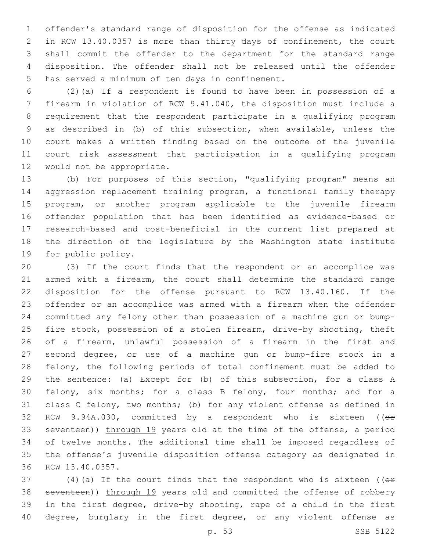offender's standard range of disposition for the offense as indicated in RCW 13.40.0357 is more than thirty days of confinement, the court shall commit the offender to the department for the standard range disposition. The offender shall not be released until the offender 5 has served a minimum of ten days in confinement.

 (2)(a) If a respondent is found to have been in possession of a firearm in violation of RCW 9.41.040, the disposition must include a requirement that the respondent participate in a qualifying program as described in (b) of this subsection, when available, unless the court makes a written finding based on the outcome of the juvenile court risk assessment that participation in a qualifying program 12 would not be appropriate.

 (b) For purposes of this section, "qualifying program" means an aggression replacement training program, a functional family therapy program, or another program applicable to the juvenile firearm offender population that has been identified as evidence-based or research-based and cost-beneficial in the current list prepared at the direction of the legislature by the Washington state institute 19 for public policy.

 (3) If the court finds that the respondent or an accomplice was armed with a firearm, the court shall determine the standard range disposition for the offense pursuant to RCW 13.40.160. If the offender or an accomplice was armed with a firearm when the offender committed any felony other than possession of a machine gun or bump- fire stock, possession of a stolen firearm, drive-by shooting, theft of a firearm, unlawful possession of a firearm in the first and second degree, or use of a machine gun or bump-fire stock in a felony, the following periods of total confinement must be added to the sentence: (a) Except for (b) of this subsection, for a class A felony, six months; for a class B felony, four months; and for a class C felony, two months; (b) for any violent offense as defined in 32 RCW 9.94A.030, committed by a respondent who is sixteen ((or 33 seventeen)) through 19 years old at the time of the offense, a period of twelve months. The additional time shall be imposed regardless of the offense's juvenile disposition offense category as designated in 36 RCW 13.40.0357.

37 (4)(a) If the court finds that the respondent who is sixteen (( $\theta$ ff) 38 seventeen)) through 19 years old and committed the offense of robbery in the first degree, drive-by shooting, rape of a child in the first 40 degree, burglary in the first degree, or any violent offense as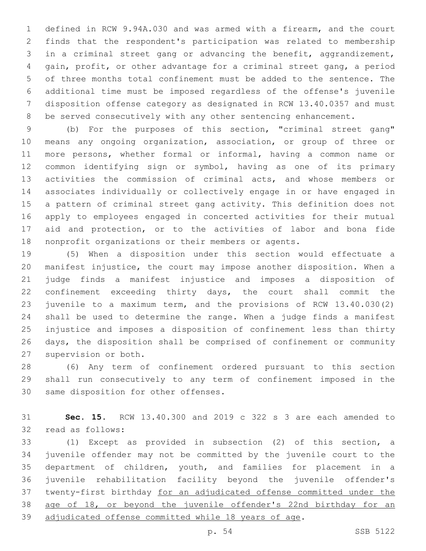defined in RCW 9.94A.030 and was armed with a firearm, and the court finds that the respondent's participation was related to membership in a criminal street gang or advancing the benefit, aggrandizement, gain, profit, or other advantage for a criminal street gang, a period of three months total confinement must be added to the sentence. The additional time must be imposed regardless of the offense's juvenile disposition offense category as designated in RCW 13.40.0357 and must be served consecutively with any other sentencing enhancement.

 (b) For the purposes of this section, "criminal street gang" means any ongoing organization, association, or group of three or more persons, whether formal or informal, having a common name or common identifying sign or symbol, having as one of its primary activities the commission of criminal acts, and whose members or associates individually or collectively engage in or have engaged in a pattern of criminal street gang activity. This definition does not apply to employees engaged in concerted activities for their mutual aid and protection, or to the activities of labor and bona fide nonprofit organizations or their members or agents.

 (5) When a disposition under this section would effectuate a manifest injustice, the court may impose another disposition. When a judge finds a manifest injustice and imposes a disposition of confinement exceeding thirty days, the court shall commit the juvenile to a maximum term, and the provisions of RCW 13.40.030(2) shall be used to determine the range. When a judge finds a manifest injustice and imposes a disposition of confinement less than thirty days, the disposition shall be comprised of confinement or community 27 supervision or both.

 (6) Any term of confinement ordered pursuant to this section shall run consecutively to any term of confinement imposed in the 30 same disposition for other offenses.

 **Sec. 15.** RCW 13.40.300 and 2019 c 322 s 3 are each amended to 32 read as follows:

 (1) Except as provided in subsection (2) of this section, a juvenile offender may not be committed by the juvenile court to the department of children, youth, and families for placement in a juvenile rehabilitation facility beyond the juvenile offender's twenty-first birthday for an adjudicated offense committed under the age of 18, or beyond the juvenile offender's 22nd birthday for an adjudicated offense committed while 18 years of age.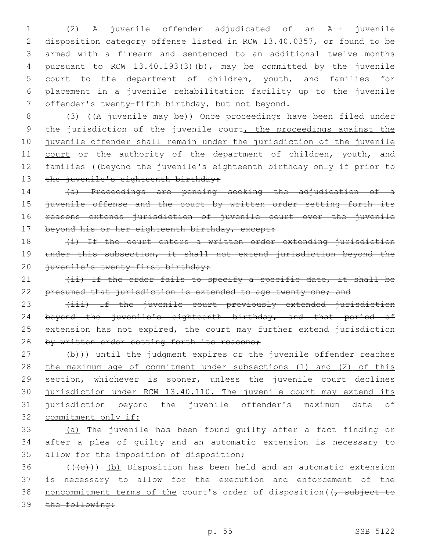(2) A juvenile offender adjudicated of an A++ juvenile disposition category offense listed in RCW 13.40.0357, or found to be armed with a firearm and sentenced to an additional twelve months pursuant to RCW 13.40.193(3)(b), may be committed by the juvenile court to the department of children, youth, and families for placement in a juvenile rehabilitation facility up to the juvenile 7 offender's twenty-fifth birthday, but not beyond.

8 (3) ((A juvenile may be)) Once proceedings have been filed under 9 the jurisdiction of the juvenile court, the proceedings against the 10 juvenile offender shall remain under the jurisdiction of the juvenile 11 court or the authority of the department of children, youth, and 12 families ((beyond the juvenile's eighteenth birthday only if prior to 13 the juvenile's eighteenth birthday:

14 (a) Proceedings are pending seeking the adjudication of a 15 juvenile offense and the court by written order setting forth its 16 reasons extends jurisdiction of juvenile court over the juvenile 17 beyond his or her eighteenth birthday, except:

18 (i) If the court enters a written order extending jurisdiction 19 under this subsection, it shall not extend jurisdiction beyond the 20 juvenile's twenty-first birthday;

21 (ii) If the order fails to specify a specific date, it shall be 22 presumed that jurisdiction is extended to age twenty-one; and

23 (iii) If the juvenile court previously extended jurisdiction 24 beyond the juvenile's eighteenth birthday, and that period of 25 extension has not expired, the court may further extend jurisdiction 26 by written order setting forth its reasons;

27 (b)) until the judgment expires or the juvenile offender reaches 28 the maximum age of commitment under subsections (1) and (2) of this 29 section, whichever is sooner, unless the juvenile court declines 30 jurisdiction under RCW 13.40.110. The juvenile court may extend its 31 jurisdiction beyond the juvenile offender's maximum date of 32 commitment only if:

33 (a) The juvenile has been found guilty after a fact finding or 34 after a plea of guilty and an automatic extension is necessary to 35 allow for the imposition of disposition;

 $36$  (( $\left(\frac{1}{16}\right)$ ) (b) Disposition has been held and an automatic extension 37 is necessary to allow for the execution and enforcement of the 38 noncommitment terms of the court's order of disposition ((, subject to 39 the following: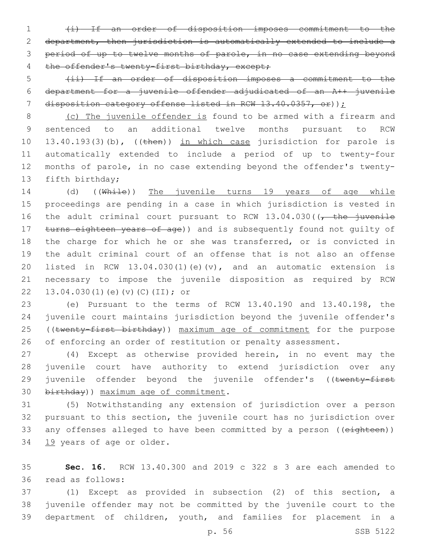(i) If an order of disposition imposes commitment to the department, then jurisdiction is automatically extended to include a period of up to twelve months of parole, in no case extending beyond 4 the offender's twenty-first birthday, except;

 (ii) If an order of disposition imposes a commitment to the department for a juvenile offender adjudicated of an A++ juvenile disposition category offense listed in RCW 13.40.0357, or));

 (c) The juvenile offender is found to be armed with a firearm and sentenced to an additional twelve months pursuant to RCW 10 13.40.193(3)(b), ((then)) in which case jurisdiction for parole is automatically extended to include a period of up to twenty-four months of parole, in no case extending beyond the offender's twenty-13 fifth birthday;

14 (d) ((While)) The juvenile turns 19 years of age while proceedings are pending in a case in which jurisdiction is vested in 16 the adult criminal court pursuant to RCW  $13.04.030$  ( $\sqrt{\frac{1}{\pi}}$  the juvenile 17 turns eighteen years of age)) and is subsequently found not quilty of the charge for which he or she was transferred, or is convicted in the adult criminal court of an offense that is not also an offense listed in RCW 13.04.030(1)(e)(v), and an automatic extension is necessary to impose the juvenile disposition as required by RCW 22 13.04.030(1)(e)(v)(C)(II); or

 (e) Pursuant to the terms of RCW 13.40.190 and 13.40.198, the juvenile court maintains jurisdiction beyond the juvenile offender's 25 ((twenty-first birthday)) maximum age of commitment for the purpose 26 of enforcing an order of restitution or penalty assessment.

 (4) Except as otherwise provided herein, in no event may the juvenile court have authority to extend jurisdiction over any 29 juvenile offender beyond the juvenile offender's ((twenty-first 30 birthday)) maximum age of commitment.

 (5) Notwithstanding any extension of jurisdiction over a person pursuant to this section, the juvenile court has no jurisdiction over 33 any offenses alleged to have been committed by a person ((eighteen)) 34 19 years of age or older.

 **Sec. 16.** RCW 13.40.300 and 2019 c 322 s 3 are each amended to read as follows:36

 (1) Except as provided in subsection (2) of this section, a juvenile offender may not be committed by the juvenile court to the department of children, youth, and families for placement in a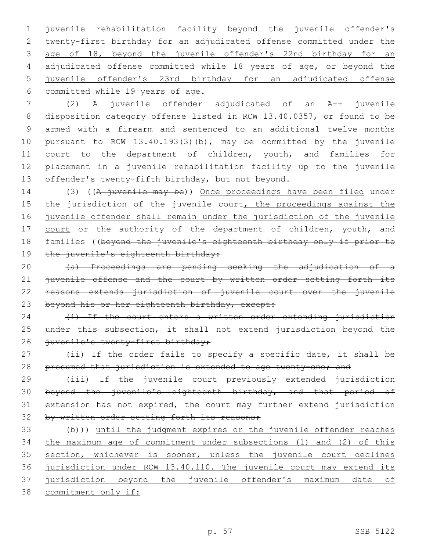juvenile rehabilitation facility beyond the juvenile offender's twenty-first birthday for an adjudicated offense committed under the age of 18, beyond the juvenile offender's 22nd birthday for an adjudicated offense committed while 18 years of age, or beyond the juvenile offender's 23rd birthday for an adjudicated offense 6 committed while 19 years of age.

 (2) A juvenile offender adjudicated of an A++ juvenile disposition category offense listed in RCW 13.40.0357, or found to be armed with a firearm and sentenced to an additional twelve months pursuant to RCW 13.40.193(3)(b), may be committed by the juvenile 11 court to the department of children, youth, and families for placement in a juvenile rehabilitation facility up to the juvenile 13 offender's twenty-fifth birthday, but not beyond.

14 (3) ((A juvenile may be)) Once proceedings have been filed under 15 the jurisdiction of the juvenile court, the proceedings against the 16 juvenile offender shall remain under the jurisdiction of the juvenile 17 court or the authority of the department of children, youth, and 18 families ((beyond the juvenile's eighteenth birthday only if prior to 19 the juvenile's eighteenth birthday:

20 (a) Proceedings are pending seeking the adjudication of a 21 juvenile offense and the court by written order setting forth its 22 reasons extends jurisdiction of juvenile court over the juvenile 23 beyond his or her eighteenth birthday, except:

 $24$   $\leftarrow$   $\leftarrow$   $\leftarrow$   $\leftarrow$  the court enters a written order extending jurisdiction 25 under this subsection, it shall not extend jurisdiction beyond the 26 juvenile's twenty-first birthday;

27 (ii) If the order fails to specify a specific date, it shall be 28 presumed that jurisdiction is extended to age twenty-one; and

 (iii) If the juvenile court previously extended jurisdiction beyond the juvenile's eighteenth birthday, and that period of extension has not expired, the court may further extend jurisdiction 32 by written order setting forth its reasons;

 $(b)$ ) until the judgment expires or the juvenile offender reaches the maximum age of commitment under subsections (1) and (2) of this 35 section, whichever is sooner, unless the juvenile court declines jurisdiction under RCW 13.40.110. The juvenile court may extend its jurisdiction beyond the juvenile offender's maximum date of commitment only if: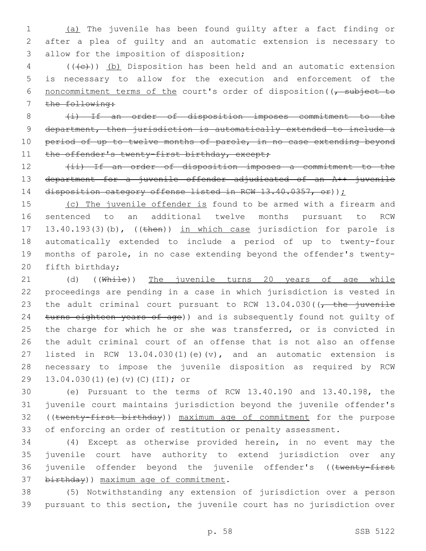1 (a) The juvenile has been found guilty after a fact finding or 2 after a plea of guilty and an automatic extension is necessary to 3 allow for the imposition of disposition;

4 (((+e))) (b) Disposition has been held and an automatic extension 5 is necessary to allow for the execution and enforcement of the 6 noncommitment terms of the court's order of disposition ((, subject to 7 the following:

8 (i) If an order of disposition imposes commitment to the 9 department, then jurisdiction is automatically extended to include a 10 period of up to twelve months of parole, in no case extending beyond 11 the offender's twenty-first birthday, except;

12 (ii) If an order of disposition imposes a commitment to the 13 department for a juvenile offender adjudicated of an A++ juvenile 14 disposition category offense listed in RCW 13.40.0357, or));

15 (c) The juvenile offender is found to be armed with a firearm and 16 sentenced to an additional twelve months pursuant to RCW 17 13.40.193(3)(b), ((then)) in which case jurisdiction for parole is 18 automatically extended to include a period of up to twenty-four 19 months of parole, in no case extending beyond the offender's twenty-20 fifth birthday;

21 (d) ((While)) The juvenile turns 20 years of age while 22 proceedings are pending in a case in which jurisdiction is vested in 23 the adult criminal court pursuant to RCW  $13.04.030$  ( $\sqrt{\frac{1}{L}}$  the juvenile 24 turns eighteen years of age)) and is subsequently found not quilty of 25 the charge for which he or she was transferred, or is convicted in 26 the adult criminal court of an offense that is not also an offense 27 listed in RCW 13.04.030(1)(e)(v), and an automatic extension is 28 necessary to impose the juvenile disposition as required by RCW 29 13.04.030(1)(e)(v)(C)(II); or

 (e) Pursuant to the terms of RCW 13.40.190 and 13.40.198, the juvenile court maintains jurisdiction beyond the juvenile offender's 32 ((twenty-first birthday)) maximum age of commitment for the purpose of enforcing an order of restitution or penalty assessment.

34 (4) Except as otherwise provided herein, in no event may the 35 juvenile court have authority to extend jurisdiction over any 36 juvenile offender beyond the juvenile offender's ((twenty-first 37 birthday)) maximum age of commitment.

38 (5) Notwithstanding any extension of jurisdiction over a person 39 pursuant to this section, the juvenile court has no jurisdiction over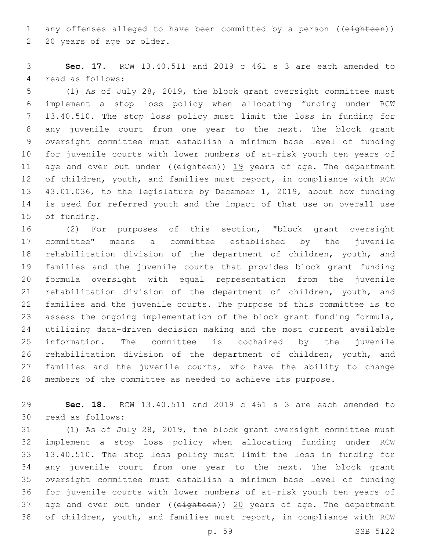1 any offenses alleged to have been committed by a person ((eighteen)) 2 20 years of age or older.

 **Sec. 17.** RCW 13.40.511 and 2019 c 461 s 3 are each amended to 4 read as follows:

 (1) As of July 28, 2019, the block grant oversight committee must implement a stop loss policy when allocating funding under RCW 13.40.510. The stop loss policy must limit the loss in funding for any juvenile court from one year to the next. The block grant oversight committee must establish a minimum base level of funding for juvenile courts with lower numbers of at-risk youth ten years of 11 age and over but under ((eighteen)) 19 years of age. The department of children, youth, and families must report, in compliance with RCW 43.01.036, to the legislature by December 1, 2019, about how funding is used for referred youth and the impact of that use on overall use 15 of funding.

 (2) For purposes of this section, "block grant oversight committee" means a committee established by the juvenile rehabilitation division of the department of children, youth, and families and the juvenile courts that provides block grant funding formula oversight with equal representation from the juvenile rehabilitation division of the department of children, youth, and families and the juvenile courts. The purpose of this committee is to assess the ongoing implementation of the block grant funding formula, utilizing data-driven decision making and the most current available information. The committee is cochaired by the juvenile rehabilitation division of the department of children, youth, and families and the juvenile courts, who have the ability to change members of the committee as needed to achieve its purpose.

 **Sec. 18.** RCW 13.40.511 and 2019 c 461 s 3 are each amended to 30 read as follows:

 (1) As of July 28, 2019, the block grant oversight committee must implement a stop loss policy when allocating funding under RCW 13.40.510. The stop loss policy must limit the loss in funding for any juvenile court from one year to the next. The block grant oversight committee must establish a minimum base level of funding for juvenile courts with lower numbers of at-risk youth ten years of 37 age and over but under (( $e$ ighteen)) 20 years of age. The department of children, youth, and families must report, in compliance with RCW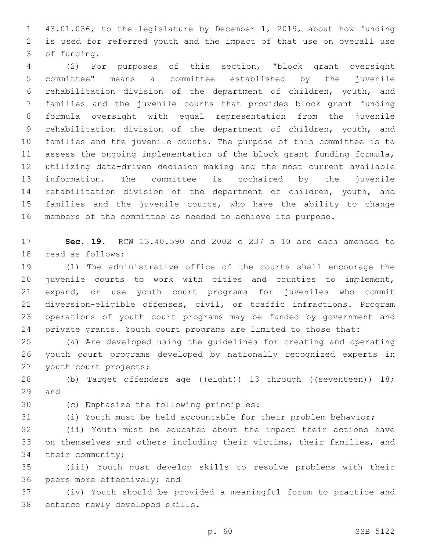43.01.036, to the legislature by December 1, 2019, about how funding is used for referred youth and the impact of that use on overall use 3 of funding.

 (2) For purposes of this section, "block grant oversight committee" means a committee established by the juvenile rehabilitation division of the department of children, youth, and families and the juvenile courts that provides block grant funding formula oversight with equal representation from the juvenile rehabilitation division of the department of children, youth, and families and the juvenile courts. The purpose of this committee is to assess the ongoing implementation of the block grant funding formula, utilizing data-driven decision making and the most current available information. The committee is cochaired by the juvenile rehabilitation division of the department of children, youth, and families and the juvenile courts, who have the ability to change members of the committee as needed to achieve its purpose.

 **Sec. 19.** RCW 13.40.590 and 2002 c 237 s 10 are each amended to 18 read as follows:

 (1) The administrative office of the courts shall encourage the juvenile courts to work with cities and counties to implement, expand, or use youth court programs for juveniles who commit diversion-eligible offenses, civil, or traffic infractions. Program operations of youth court programs may be funded by government and private grants. Youth court programs are limited to those that:

 (a) Are developed using the guidelines for creating and operating youth court programs developed by nationally recognized experts in 27 youth court projects;

28 (b) Target offenders age (( $e^{\frac{i}{2}(\theta + \theta)}$ )  $\frac{13}{13}$  through (( $se$ venteen))  $\frac{18}{15}$ ; 29 and

30 (c) Emphasize the following principles:

(i) Youth must be held accountable for their problem behavior;

 (ii) Youth must be educated about the impact their actions have on themselves and others including their victims, their families, and 34 their community;

 (iii) Youth must develop skills to resolve problems with their 36 peers more effectively; and

 (iv) Youth should be provided a meaningful forum to practice and 38 enhance newly developed skills.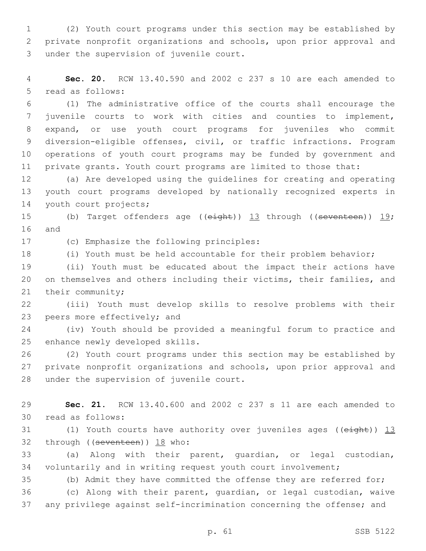(2) Youth court programs under this section may be established by private nonprofit organizations and schools, upon prior approval and 3 under the supervision of juvenile court.

 **Sec. 20.** RCW 13.40.590 and 2002 c 237 s 10 are each amended to 5 read as follows:

 (1) The administrative office of the courts shall encourage the juvenile courts to work with cities and counties to implement, expand, or use youth court programs for juveniles who commit diversion-eligible offenses, civil, or traffic infractions. Program operations of youth court programs may be funded by government and private grants. Youth court programs are limited to those that:

 (a) Are developed using the guidelines for creating and operating youth court programs developed by nationally recognized experts in 14 youth court projects;

15 (b) Target offenders age ((eight)) 13 through ((seventeen)) 19; 16 and

17 (c) Emphasize the following principles:

(i) Youth must be held accountable for their problem behavior;

 (ii) Youth must be educated about the impact their actions have on themselves and others including their victims, their families, and 21 their community;

 (iii) Youth must develop skills to resolve problems with their 23 peers more effectively; and

 (iv) Youth should be provided a meaningful forum to practice and 25 enhance newly developed skills.

 (2) Youth court programs under this section may be established by private nonprofit organizations and schools, upon prior approval and 28 under the supervision of juvenile court.

 **Sec. 21.** RCW 13.40.600 and 2002 c 237 s 11 are each amended to 30 read as follows:

31 (1) Youth courts have authority over juveniles ages ((eight)) 13 32 through ((seventeen)) 18 who:

 (a) Along with their parent, guardian, or legal custodian, voluntarily and in writing request youth court involvement;

(b) Admit they have committed the offense they are referred for;

 (c) Along with their parent, guardian, or legal custodian, waive any privilege against self-incrimination concerning the offense; and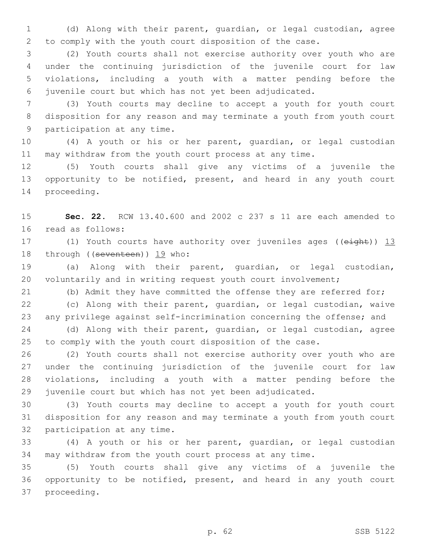(d) Along with their parent, guardian, or legal custodian, agree to comply with the youth court disposition of the case.

 (2) Youth courts shall not exercise authority over youth who are under the continuing jurisdiction of the juvenile court for law violations, including a youth with a matter pending before the juvenile court but which has not yet been adjudicated.

 (3) Youth courts may decline to accept a youth for youth court disposition for any reason and may terminate a youth from youth court 9 participation at any time.

 (4) A youth or his or her parent, guardian, or legal custodian may withdraw from the youth court process at any time.

 (5) Youth courts shall give any victims of a juvenile the opportunity to be notified, present, and heard in any youth court 14 proceeding.

 **Sec. 22.** RCW 13.40.600 and 2002 c 237 s 11 are each amended to 16 read as follows:

17 (1) Youth courts have authority over juveniles ages ((eight)) 13 18 through ((seventeen)) 19 who:

 (a) Along with their parent, guardian, or legal custodian, 20 voluntarily and in writing request youth court involvement;

(b) Admit they have committed the offense they are referred for;

 (c) Along with their parent, guardian, or legal custodian, waive any privilege against self-incrimination concerning the offense; and

 (d) Along with their parent, guardian, or legal custodian, agree to comply with the youth court disposition of the case.

 (2) Youth courts shall not exercise authority over youth who are under the continuing jurisdiction of the juvenile court for law violations, including a youth with a matter pending before the juvenile court but which has not yet been adjudicated.

 (3) Youth courts may decline to accept a youth for youth court disposition for any reason and may terminate a youth from youth court 32 participation at any time.

 (4) A youth or his or her parent, guardian, or legal custodian may withdraw from the youth court process at any time.

 (5) Youth courts shall give any victims of a juvenile the opportunity to be notified, present, and heard in any youth court 37 proceeding.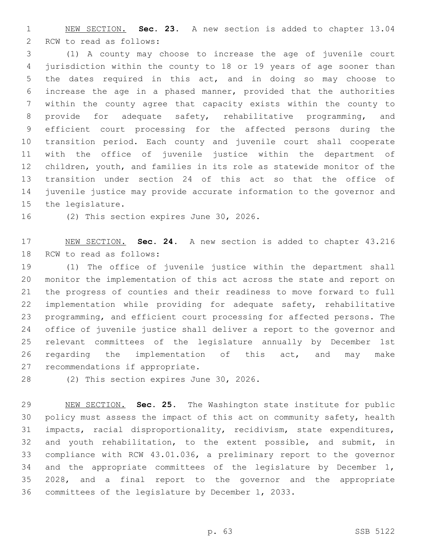NEW SECTION. **Sec. 23.** A new section is added to chapter 13.04 2 RCW to read as follows:

 (1) A county may choose to increase the age of juvenile court jurisdiction within the county to 18 or 19 years of age sooner than the dates required in this act, and in doing so may choose to increase the age in a phased manner, provided that the authorities within the county agree that capacity exists within the county to 8 provide for adequate safety, rehabilitative programming, and efficient court processing for the affected persons during the transition period. Each county and juvenile court shall cooperate with the office of juvenile justice within the department of children, youth, and families in its role as statewide monitor of the transition under section 24 of this act so that the office of juvenile justice may provide accurate information to the governor and 15 the legislature.

16 (2) This section expires June 30, 2026.

 NEW SECTION. **Sec. 24.** A new section is added to chapter 43.216 18 RCW to read as follows:

 (1) The office of juvenile justice within the department shall monitor the implementation of this act across the state and report on the progress of counties and their readiness to move forward to full implementation while providing for adequate safety, rehabilitative programming, and efficient court processing for affected persons. The office of juvenile justice shall deliver a report to the governor and relevant committees of the legislature annually by December 1st regarding the implementation of this act, and may make 27 recommendations if appropriate.

28 (2) This section expires June 30, 2026.

 NEW SECTION. **Sec. 25.** The Washington state institute for public policy must assess the impact of this act on community safety, health impacts, racial disproportionality, recidivism, state expenditures, and youth rehabilitation, to the extent possible, and submit, in compliance with RCW 43.01.036, a preliminary report to the governor 34 and the appropriate committees of the legislature by December 1, 2028, and a final report to the governor and the appropriate committees of the legislature by December 1, 2033.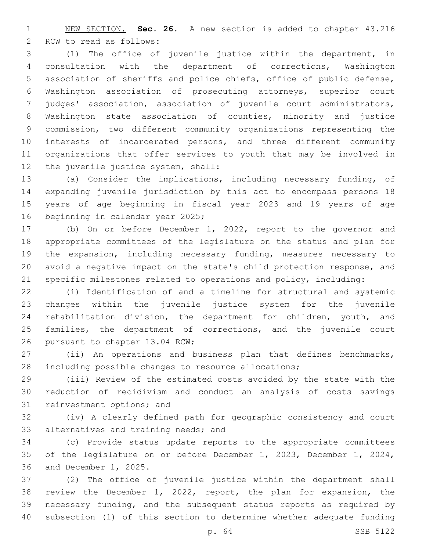NEW SECTION. **Sec. 26.** A new section is added to chapter 43.216 2 RCW to read as follows:

 (1) The office of juvenile justice within the department, in consultation with the department of corrections, Washington association of sheriffs and police chiefs, office of public defense, Washington association of prosecuting attorneys, superior court judges' association, association of juvenile court administrators, Washington state association of counties, minority and justice commission, two different community organizations representing the interests of incarcerated persons, and three different community organizations that offer services to youth that may be involved in 12 the juvenile justice system, shall:

 (a) Consider the implications, including necessary funding, of expanding juvenile jurisdiction by this act to encompass persons 18 years of age beginning in fiscal year 2023 and 19 years of age 16 beginning in calendar year 2025;

 (b) On or before December 1, 2022, report to the governor and appropriate committees of the legislature on the status and plan for the expansion, including necessary funding, measures necessary to avoid a negative impact on the state's child protection response, and specific milestones related to operations and policy, including:

 (i) Identification of and a timeline for structural and systemic changes within the juvenile justice system for the juvenile rehabilitation division, the department for children, youth, and families, the department of corrections, and the juvenile court 26 pursuant to chapter 13.04 RCW;

 (ii) An operations and business plan that defines benchmarks, including possible changes to resource allocations;

 (iii) Review of the estimated costs avoided by the state with the reduction of recidivism and conduct an analysis of costs savings 31 reinvestment options; and

 (iv) A clearly defined path for geographic consistency and court 33 alternatives and training needs; and

 (c) Provide status update reports to the appropriate committees of the legislature on or before December 1, 2023, December 1, 2024, 36 and December 1, 2025.

 (2) The office of juvenile justice within the department shall review the December 1, 2022, report, the plan for expansion, the necessary funding, and the subsequent status reports as required by subsection (1) of this section to determine whether adequate funding